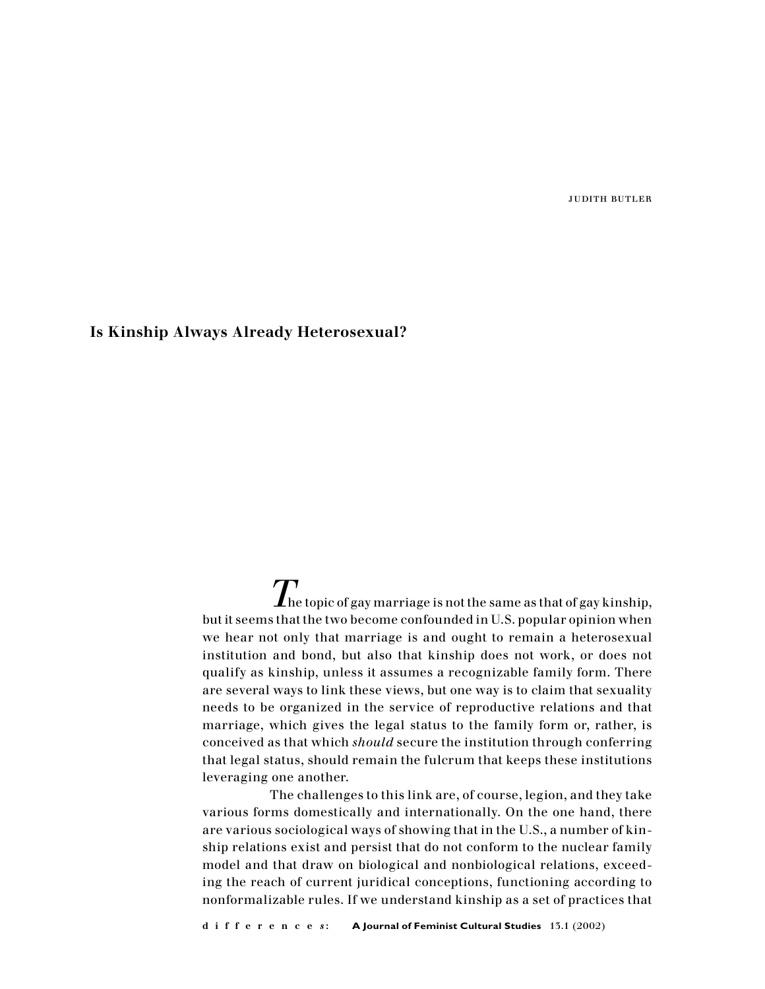judith butler

# **Is Kinship Always Already Heterosexual?**

# $\displaystyle T$ he topic of gay marriage is not the same as that of gay kinship, but it seems that the two become confounded in U.S. popular opinion when we hear not only that marriage is and ought to remain a heterosexual institution and bond, but also that kinship does not work, or does not qualify as kinship, unless it assumes a recognizable family form. There are several ways to link these views, but one way is to claim that sexuality needs to be organized in the service of reproductive relations and that marriage, which gives the legal status to the family form or, rather, is conceived as that which *should* secure the institution through conferring that legal status, should remain the fulcrum that keeps these institutions leveraging one another.

The challenges to this link are, of course, legion, and they take various forms domestically and internationally. On the one hand, there are various sociological ways of showing that in the U.S., a number of kinship relations exist and persist that do not conform to the nuclear family model and that draw on biological and nonbiological relations, exceeding the reach of current juridical conceptions, functioning according to nonformalizable rules. If we understand kinship as a set of practices that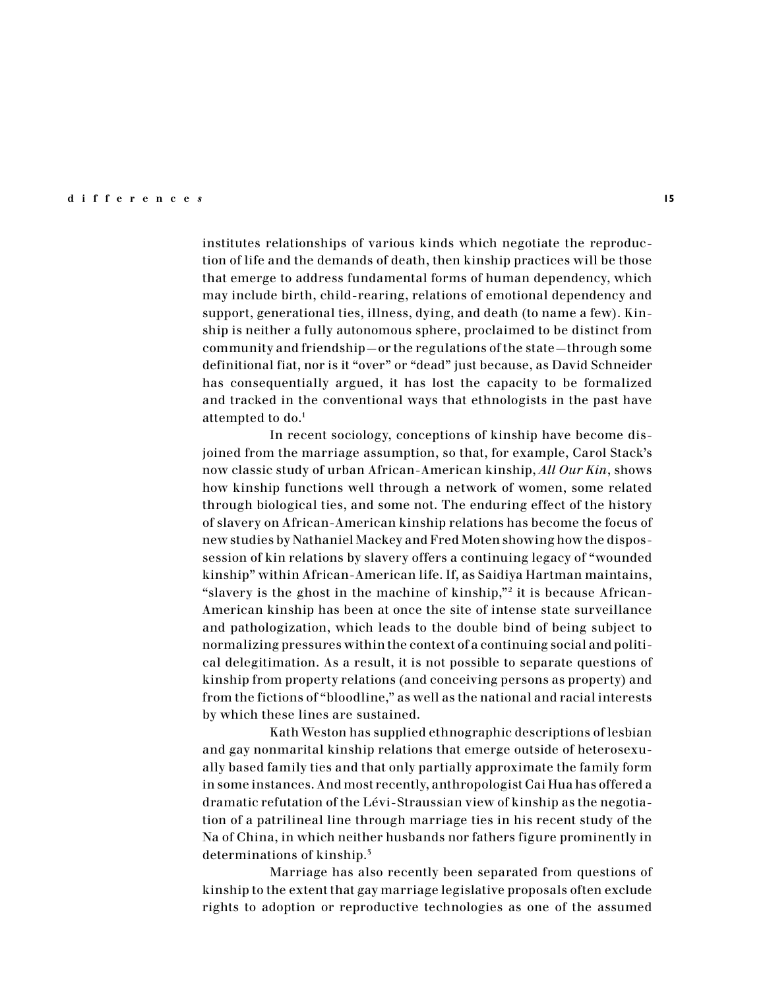institutes relationships of various kinds which negotiate the reproduction of life and the demands of death, then kinship practices will be those that emerge to address fundamental forms of human dependency, which may include birth, child-rearing, relations of emotional dependency and support, generational ties, illness, dying, and death (to name a few). Kinship is neither a fully autonomous sphere, proclaimed to be distinct from community and friendship—or the regulations of the state—through some definitional fiat, nor is it "over" or "dead" just because, as David Schneider has consequentially argued, it has lost the capacity to be formalized and tracked in the conventional ways that ethnologists in the past have attempted to do.<sup>1</sup>

In recent sociology, conceptions of kinship have become disjoined from the marriage assumption, so that, for example, Carol Stack's now classic study of urban African-American kinship, *All Our Kin*, shows how kinship functions well through a network of women, some related through biological ties, and some not. The enduring effect of the history of slavery on African-American kinship relations has become the focus of new studies by Nathaniel Mackey and Fred Moten showing how the dispossession of kin relations by slavery offers a continuing legacy of "wounded kinship" within African-American life. If, as Saidiya Hartman maintains, "slavery is the ghost in the machine of kinship,"2 it is because African-American kinship has been at once the site of intense state surveillance and pathologization, which leads to the double bind of being subject to normalizing pressures within the context of a continuing social and political delegitimation. As a result, it is not possible to separate questions of kinship from property relations (and conceiving persons as property) and from the fictions of "bloodline," as well as the national and racial interests by which these lines are sustained.

Kath Weston has supplied ethnographic descriptions of lesbian and gay nonmarital kinship relations that emerge outside of heterosexually based family ties and that only partially approximate the family form in some instances. And most recently, anthropologist Cai Hua has offered a dramatic refutation of the Lévi-Straussian view of kinship as the negotiation of a patrilineal line through marriage ties in his recent study of the Na of China, in which neither husbands nor fathers figure prominently in determinations of kinship.3

Marriage has also recently been separated from questions of kinship to the extent that gay marriage legislative proposals often exclude rights to adoption or reproductive technologies as one of the assumed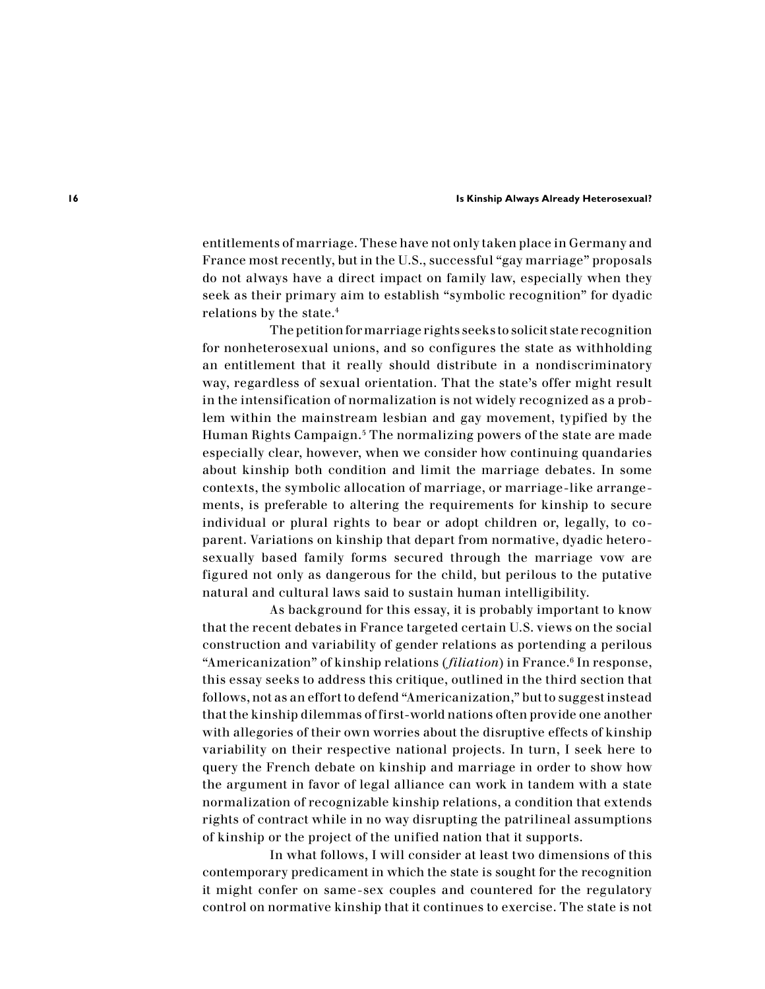entitlements of marriage. These have not only taken place in Germany and France most recently, but in the U.S., successful "gay marriage" proposals do not always have a direct impact on family law, especially when they seek as their primary aim to establish "symbolic recognition" for dyadic relations by the state.4

The petition for marriage rights seeks to solicit state recognition for nonheterosexual unions, and so configures the state as withholding an entitlement that it really should distribute in a nondiscriminatory way, regardless of sexual orientation. That the state's offer might result in the intensification of normalization is not widely recognized as a problem within the mainstream lesbian and gay movement, typified by the Human Rights Campaign.5 The normalizing powers of the state are made especially clear, however, when we consider how continuing quandaries about kinship both condition and limit the marriage debates. In some contexts, the symbolic allocation of marriage, or marriage-like arrangements, is preferable to altering the requirements for kinship to secure individual or plural rights to bear or adopt children or, legally, to coparent. Variations on kinship that depart from normative, dyadic heterosexually based family forms secured through the marriage vow are figured not only as dangerous for the child, but perilous to the putative natural and cultural laws said to sustain human intelligibility.

As background for this essay, it is probably important to know that the recent debates in France targeted certain U.S. views on the social construction and variability of gender relations as portending a perilous "Americanization" of kinship relations ( *filiation*) in France.6 In response, this essay seeks to address this critique, outlined in the third section that follows, not as an effort to defend "Americanization," but to suggest instead that the kinship dilemmas of first-world nations often provide one another with allegories of their own worries about the disruptive effects of kinship variability on their respective national projects. In turn, I seek here to query the French debate on kinship and marriage in order to show how the argument in favor of legal alliance can work in tandem with a state normalization of recognizable kinship relations, a condition that extends rights of contract while in no way disrupting the patrilineal assumptions of kinship or the project of the unified nation that it supports.

In what follows, I will consider at least two dimensions of this contemporary predicament in which the state is sought for the recognition it might confer on same-sex couples and countered for the regulatory control on normative kinship that it continues to exercise. The state is not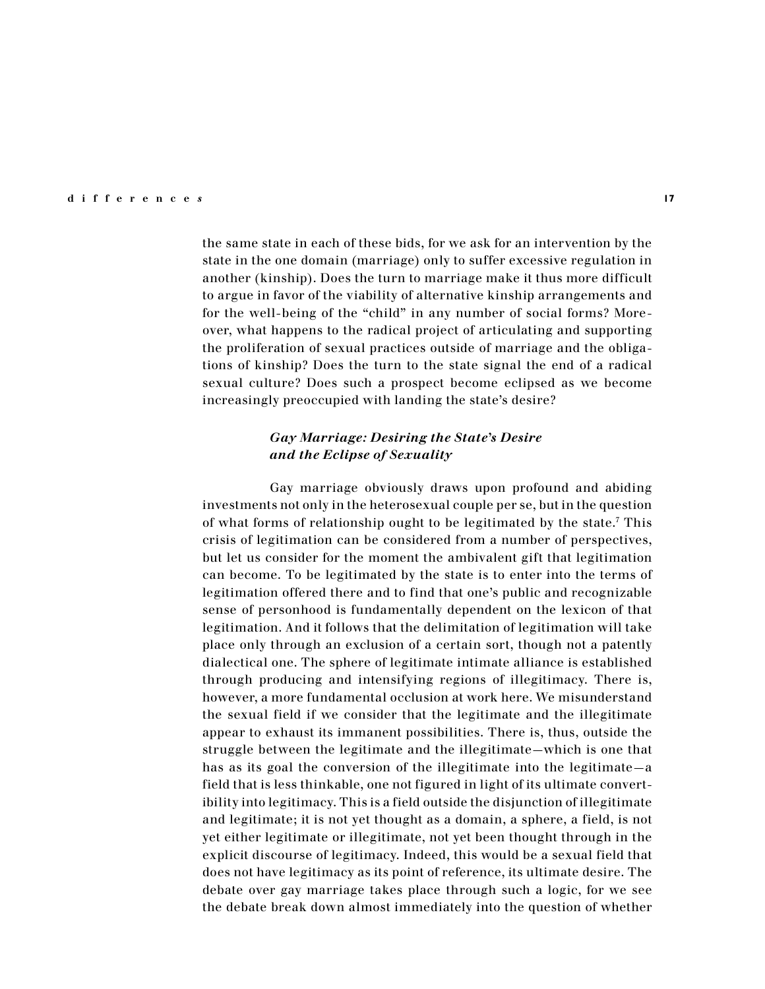the same state in each of these bids, for we ask for an intervention by the state in the one domain (marriage) only to suffer excessive regulation in another (kinship). Does the turn to marriage make it thus more difficult to argue in favor of the viability of alternative kinship arrangements and for the well-being of the "child" in any number of social forms? Moreover, what happens to the radical project of articulating and supporting the proliferation of sexual practices outside of marriage and the obligations of kinship? Does the turn to the state signal the end of a radical sexual culture? Does such a prospect become eclipsed as we become increasingly preoccupied with landing the state's desire?

# *Gay Marriage: Desiring the State***'***s Desire and the Eclipse of Sexuality*

Gay marriage obviously draws upon profound and abiding investments not only in the heterosexual couple per se, but in the question of what forms of relationship ought to be legitimated by the state.7 This crisis of legitimation can be considered from a number of perspectives, but let us consider for the moment the ambivalent gift that legitimation can become. To be legitimated by the state is to enter into the terms of legitimation offered there and to find that one's public and recognizable sense of personhood is fundamentally dependent on the lexicon of that legitimation. And it follows that the delimitation of legitimation will take place only through an exclusion of a certain sort, though not a patently dialectical one. The sphere of legitimate intimate alliance is established through producing and intensifying regions of illegitimacy. There is, however, a more fundamental occlusion at work here. We misunderstand the sexual field if we consider that the legitimate and the illegitimate appear to exhaust its immanent possibilities. There is, thus, outside the struggle between the legitimate and the illegitimate—which is one that has as its goal the conversion of the illegitimate into the legitimate—a field that is less thinkable, one not figured in light of its ultimate convertibility into legitimacy. This is a field outside the disjunction of illegitimate and legitimate; it is not yet thought as a domain, a sphere, a field, is not yet either legitimate or illegitimate, not yet been thought through in the explicit discourse of legitimacy. Indeed, this would be a sexual field that does not have legitimacy as its point of reference, its ultimate desire. The debate over gay marriage takes place through such a logic, for we see the debate break down almost immediately into the question of whether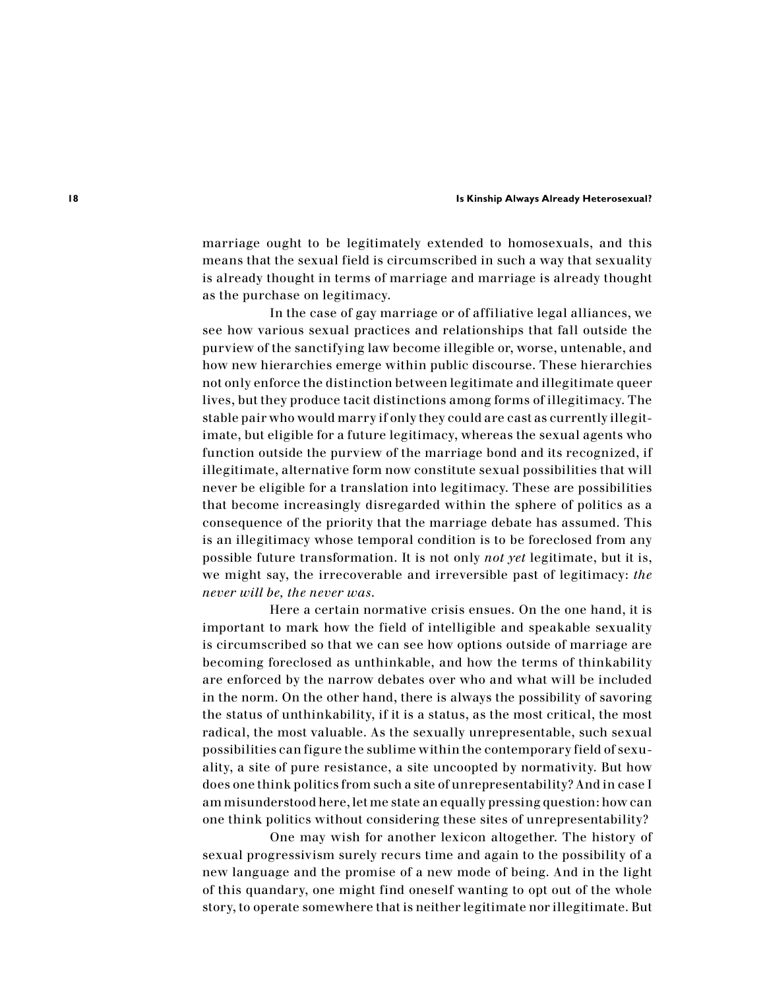marriage ought to be legitimately extended to homosexuals, and this means that the sexual field is circumscribed in such a way that sexuality is already thought in terms of marriage and marriage is already thought as the purchase on legitimacy.

In the case of gay marriage or of affiliative legal alliances, we see how various sexual practices and relationships that fall outside the purview of the sanctifying law become illegible or, worse, untenable, and how new hierarchies emerge within public discourse. These hierarchies not only enforce the distinction between legitimate and illegitimate queer lives, but they produce tacit distinctions among forms of illegitimacy. The stable pair who would marry if only they could are cast as currently illegitimate, but eligible for a future legitimacy, whereas the sexual agents who function outside the purview of the marriage bond and its recognized, if illegitimate, alternative form now constitute sexual possibilities that will never be eligible for a translation into legitimacy. These are possibilities that become increasingly disregarded within the sphere of politics as a consequence of the priority that the marriage debate has assumed. This is an illegitimacy whose temporal condition is to be foreclosed from any possible future transformation. It is not only *not yet* legitimate, but it is, we might say, the irrecoverable and irreversible past of legitimacy: *the never will be, the never was*.

Here a certain normative crisis ensues. On the one hand, it is important to mark how the field of intelligible and speakable sexuality is circumscribed so that we can see how options outside of marriage are becoming foreclosed as unthinkable, and how the terms of thinkability are enforced by the narrow debates over who and what will be included in the norm. On the other hand, there is always the possibility of savoring the status of unthinkability, if it is a status, as the most critical, the most radical, the most valuable. As the sexually unrepresentable, such sexual possibilities can figure the sublime within the contemporary field of sexuality, a site of pure resistance, a site uncoopted by normativity. But how does one think politics from such a site of unrepresentability? And in case I am misunderstood here, let me state an equally pressing question: how can one think politics without considering these sites of unrepresentability?

One may wish for another lexicon altogether. The history of sexual progressivism surely recurs time and again to the possibility of a new language and the promise of a new mode of being. And in the light of this quandary, one might find oneself wanting to opt out of the whole story, to operate somewhere that is neither legitimate nor illegitimate. But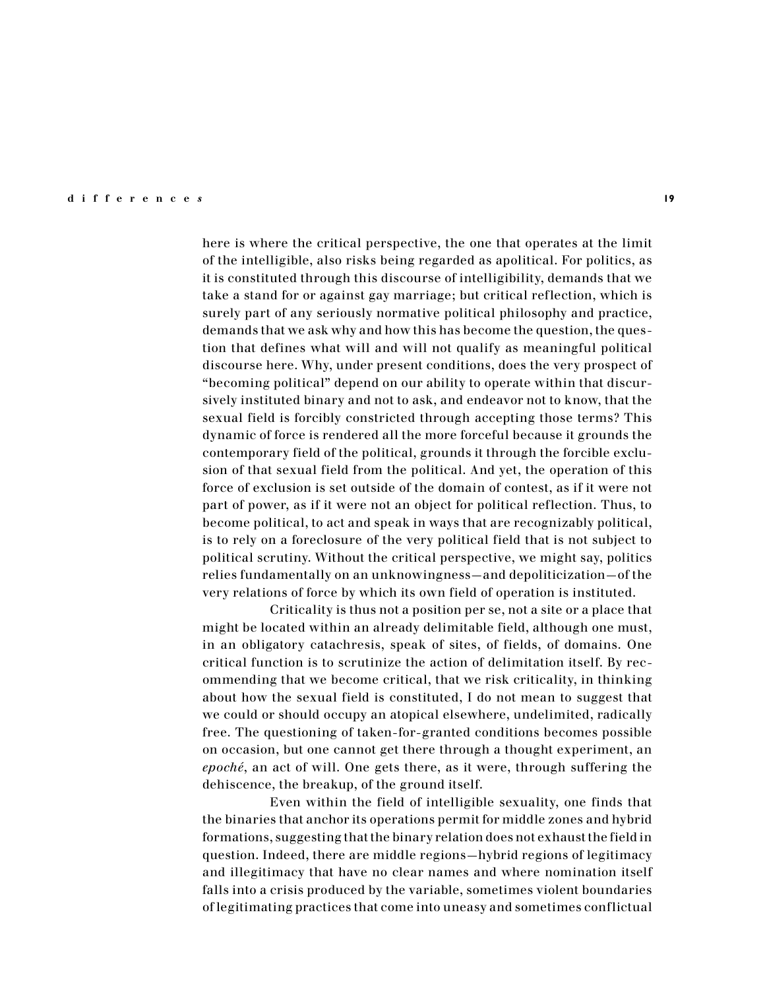here is where the critical perspective, the one that operates at the limit of the intelligible, also risks being regarded as apolitical. For politics, as it is constituted through this discourse of intelligibility, demands that we take a stand for or against gay marriage; but critical reflection, which is surely part of any seriously normative political philosophy and practice, demands that we ask why and how this has become the question, the question that defines what will and will not qualify as meaningful political discourse here. Why, under present conditions, does the very prospect of "becoming political" depend on our ability to operate within that discursively instituted binary and not to ask, and endeavor not to know, that the sexual field is forcibly constricted through accepting those terms? This dynamic of force is rendered all the more forceful because it grounds the contemporary field of the political, grounds it through the forcible exclusion of that sexual field from the political. And yet, the operation of this force of exclusion is set outside of the domain of contest, as if it were not part of power, as if it were not an object for political reflection. Thus, to become political, to act and speak in ways that are recognizably political, is to rely on a foreclosure of the very political field that is not subject to political scrutiny. Without the critical perspective, we might say, politics relies fundamentally on an unknowingness—and depoliticization—of the very relations of force by which its own field of operation is instituted.

Criticality is thus not a position per se, not a site or a place that might be located within an already delimitable field, although one must, in an obligatory catachresis, speak of sites, of fields, of domains. One critical function is to scrutinize the action of delimitation itself. By recommending that we become critical, that we risk criticality, in thinking about how the sexual field is constituted, I do not mean to suggest that we could or should occupy an atopical elsewhere, undelimited, radically free. The questioning of taken-for-granted conditions becomes possible on occasion, but one cannot get there through a thought experiment, an *epoché*, an act of will. One gets there, as it were, through suffering the dehiscence, the breakup, of the ground itself.

Even within the field of intelligible sexuality, one finds that the binaries that anchor its operations permit for middle zones and hybrid formations, suggesting that the binary relation does not exhaust the field in question. Indeed, there are middle regions—hybrid regions of legitimacy and illegitimacy that have no clear names and where nomination itself falls into a crisis produced by the variable, sometimes violent boundaries of legitimating practices that come into uneasy and sometimes conflictual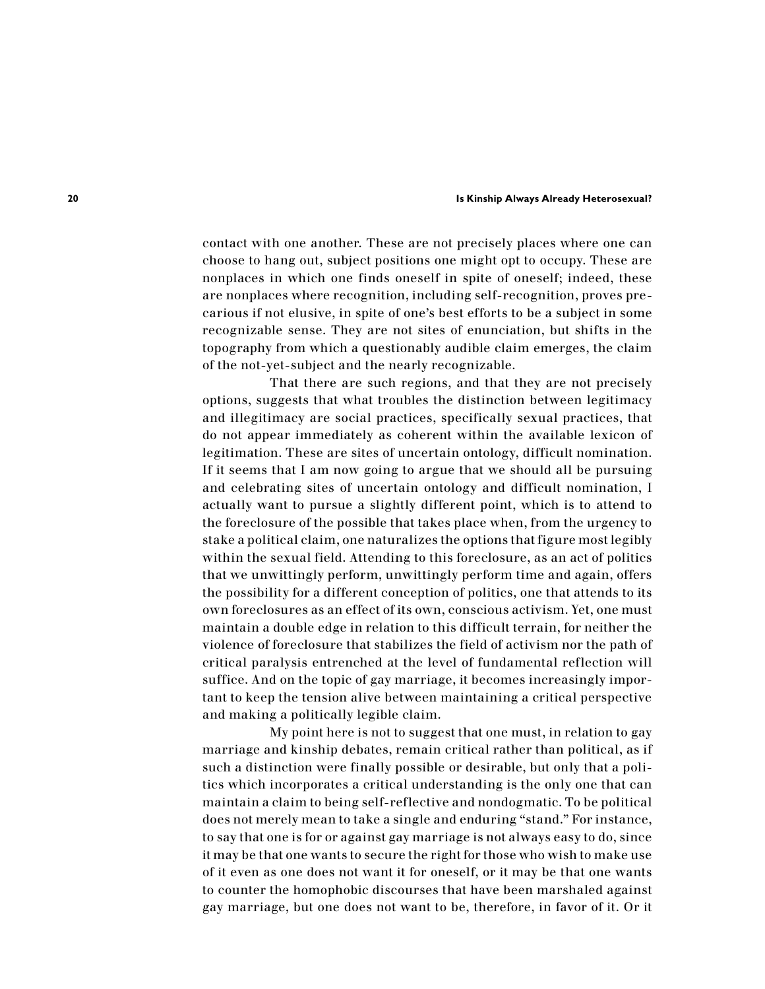contact with one another. These are not precisely places where one can choose to hang out, subject positions one might opt to occupy. These are nonplaces in which one finds oneself in spite of oneself; indeed, these are nonplaces where recognition, including self-recognition, proves precarious if not elusive, in spite of one's best efforts to be a subject in some recognizable sense. They are not sites of enunciation, but shifts in the topography from which a questionably audible claim emerges, the claim of the not-yet-subject and the nearly recognizable.

That there are such regions, and that they are not precisely options, suggests that what troubles the distinction between legitimacy and illegitimacy are social practices, specifically sexual practices, that do not appear immediately as coherent within the available lexicon of legitimation. These are sites of uncertain ontology, difficult nomination. If it seems that I am now going to argue that we should all be pursuing and celebrating sites of uncertain ontology and difficult nomination, I actually want to pursue a slightly different point, which is to attend to the foreclosure of the possible that takes place when, from the urgency to stake a political claim, one naturalizes the options that figure most legibly within the sexual field. Attending to this foreclosure, as an act of politics that we unwittingly perform, unwittingly perform time and again, offers the possibility for a different conception of politics, one that attends to its own foreclosures as an effect of its own, conscious activism. Yet, one must maintain a double edge in relation to this difficult terrain, for neither the violence of foreclosure that stabilizes the field of activism nor the path of critical paralysis entrenched at the level of fundamental reflection will suffice. And on the topic of gay marriage, it becomes increasingly important to keep the tension alive between maintaining a critical perspective and making a politically legible claim.

My point here is not to suggest that one must, in relation to gay marriage and kinship debates, remain critical rather than political, as if such a distinction were finally possible or desirable, but only that a politics which incorporates a critical understanding is the only one that can maintain a claim to being self-reflective and nondogmatic. To be political does not merely mean to take a single and enduring "stand." For instance, to say that one is for or against gay marriage is not always easy to do, since it may be that one wants to secure the right for those who wish to make use of it even as one does not want it for oneself, or it may be that one wants to counter the homophobic discourses that have been marshaled against gay marriage, but one does not want to be, therefore, in favor of it. Or it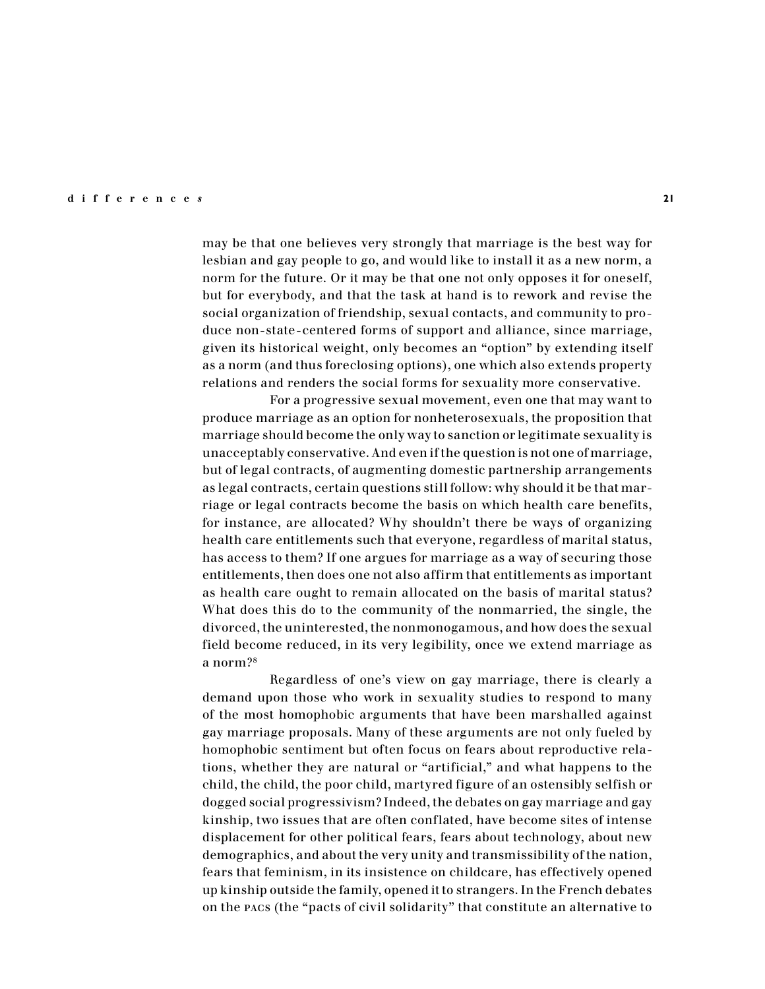may be that one believes very strongly that marriage is the best way for lesbian and gay people to go, and would like to install it as a new norm, a norm for the future. Or it may be that one not only opposes it for oneself, but for everybody, and that the task at hand is to rework and revise the social organization of friendship, sexual contacts, and community to produce non-state-centered forms of support and alliance, since marriage, given its historical weight, only becomes an "option" by extending itself as a norm (and thus foreclosing options), one which also extends property relations and renders the social forms for sexuality more conservative.

For a progressive sexual movement, even one that may want to produce marriage as an option for nonheterosexuals, the proposition that marriage should become the only way to sanction or legitimate sexuality is unacceptably conservative. And even if the question is not one of marriage, but of legal contracts, of augmenting domestic partnership arrangements as legal contracts, certain questions still follow: why should it be that marriage or legal contracts become the basis on which health care benefits, for instance, are allocated? Why shouldn't there be ways of organizing health care entitlements such that everyone, regardless of marital status, has access to them? If one argues for marriage as a way of securing those entitlements, then does one not also affirm that entitlements as important as health care ought to remain allocated on the basis of marital status? What does this do to the community of the nonmarried, the single, the divorced, the uninterested, the nonmonogamous, and how does the sexual field become reduced, in its very legibility, once we extend marriage as a norm?8

Regardless of one's view on gay marriage, there is clearly a demand upon those who work in sexuality studies to respond to many of the most homophobic arguments that have been marshalled against gay marriage proposals. Many of these arguments are not only fueled by homophobic sentiment but often focus on fears about reproductive relations, whether they are natural or "artificial," and what happens to the child, the child, the poor child, martyred figure of an ostensibly selfish or dogged social progressivism? Indeed, the debates on gay marriage and gay kinship, two issues that are often conflated, have become sites of intense displacement for other political fears, fears about technology, about new demographics, and about the very unity and transmissibility of the nation, fears that feminism, in its insistence on childcare, has effectively opened up kinship outside the family, opened it to strangers. In the French debates on the pacs (the "pacts of civil solidarity" that constitute an alternative to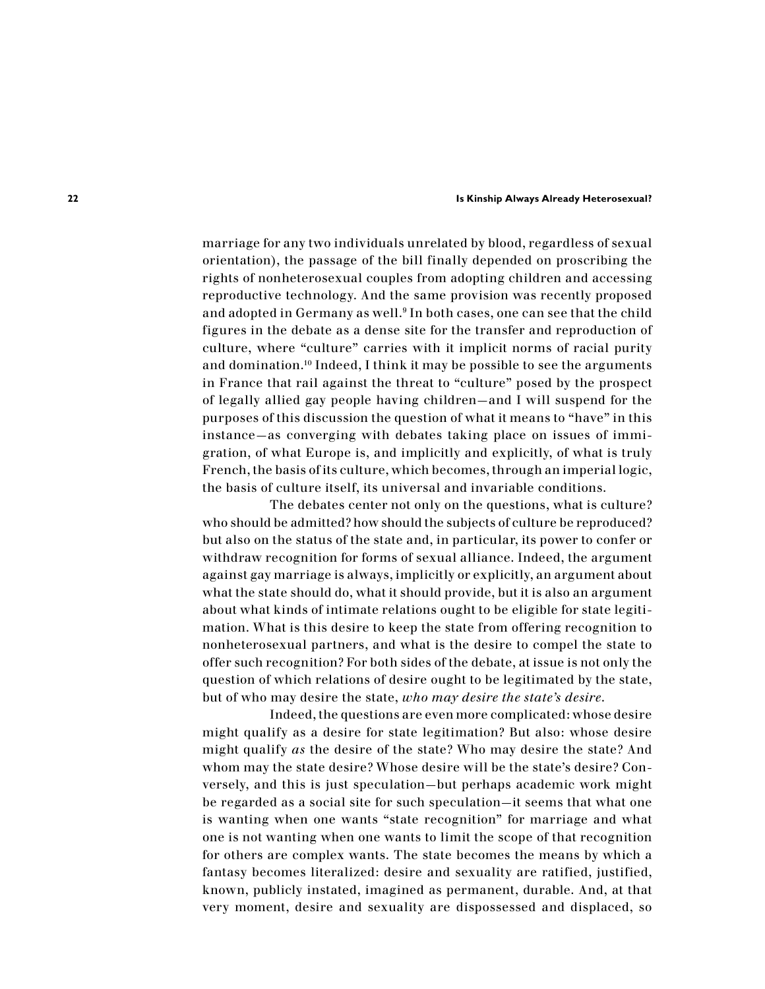marriage for any two individuals unrelated by blood, regardless of sexual orientation), the passage of the bill finally depended on proscribing the rights of nonheterosexual couples from adopting children and accessing reproductive technology. And the same provision was recently proposed and adopted in Germany as well.<sup>9</sup> In both cases, one can see that the child figures in the debate as a dense site for the transfer and reproduction of culture, where "culture" carries with it implicit norms of racial purity and domination.10 Indeed, I think it may be possible to see the arguments in France that rail against the threat to "culture" posed by the prospect of legally allied gay people having children—and I will suspend for the purposes of this discussion the question of what it means to "have" in this instance—as converging with debates taking place on issues of immigration, of what Europe is, and implicitly and explicitly, of what is truly French, the basis of its culture, which becomes, through an imperial logic, the basis of culture itself, its universal and invariable conditions.

The debates center not only on the questions, what is culture? who should be admitted? how should the subjects of culture be reproduced? but also on the status of the state and, in particular, its power to confer or withdraw recognition for forms of sexual alliance. Indeed, the argument against gay marriage is always, implicitly or explicitly, an argument about what the state should do, what it should provide, but it is also an argument about what kinds of intimate relations ought to be eligible for state legitimation. What is this desire to keep the state from offering recognition to nonheterosexual partners, and what is the desire to compel the state to offer such recognition? For both sides of the debate, at issue is not only the question of which relations of desire ought to be legitimated by the state, but of who may desire the state, *who may desire the state's desire*.

Indeed, the questions are even more complicated: whose desire might qualify as a desire for state legitimation? But also: whose desire might qualify *as* the desire of the state? Who may desire the state? And whom may the state desire? Whose desire will be the state's desire? Conversely, and this is just speculation—but perhaps academic work might be regarded as a social site for such speculation—it seems that what one is wanting when one wants "state recognition" for marriage and what one is not wanting when one wants to limit the scope of that recognition for others are complex wants. The state becomes the means by which a fantasy becomes literalized: desire and sexuality are ratified, justified, known, publicly instated, imagined as permanent, durable. And, at that very moment, desire and sexuality are dispossessed and displaced, so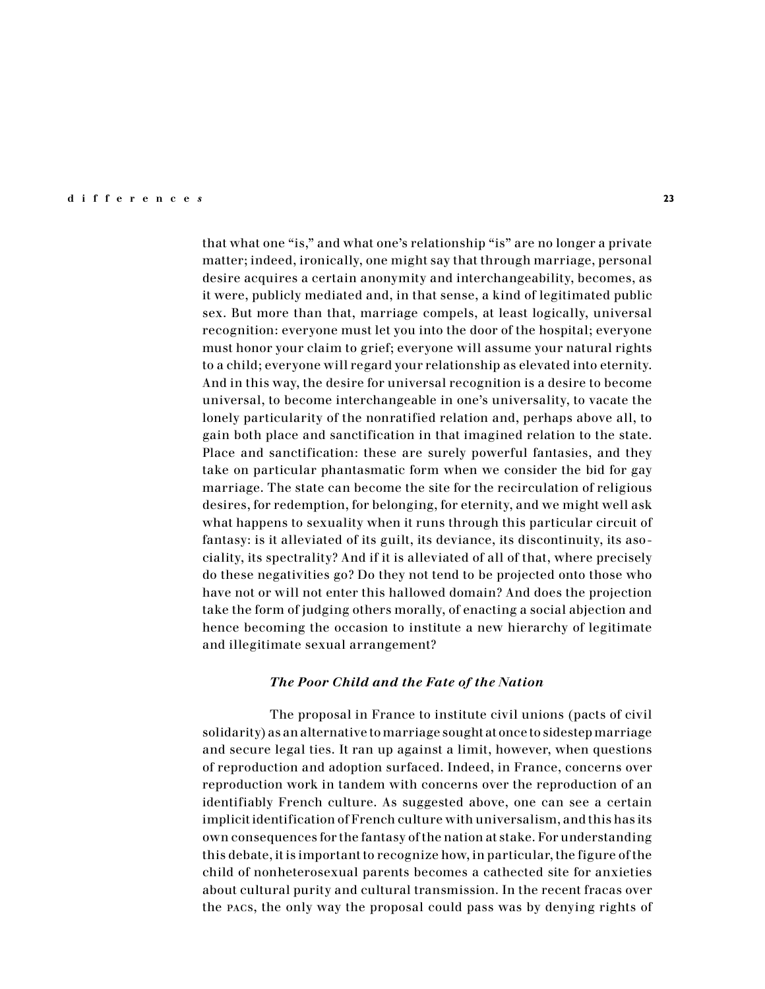that what one "is," and what one's relationship "is" are no longer a private matter; indeed, ironically, one might say that through marriage, personal desire acquires a certain anonymity and interchangeability, becomes, as it were, publicly mediated and, in that sense, a kind of legitimated public sex. But more than that, marriage compels, at least logically, universal recognition: everyone must let you into the door of the hospital; everyone must honor your claim to grief; everyone will assume your natural rights to a child; everyone will regard your relationship as elevated into eternity. And in this way, the desire for universal recognition is a desire to become universal, to become interchangeable in one's universality, to vacate the lonely particularity of the nonratified relation and, perhaps above all, to gain both place and sanctification in that imagined relation to the state. Place and sanctification: these are surely powerful fantasies, and they take on particular phantasmatic form when we consider the bid for gay marriage. The state can become the site for the recirculation of religious desires, for redemption, for belonging, for eternity, and we might well ask what happens to sexuality when it runs through this particular circuit of fantasy: is it alleviated of its guilt, its deviance, its discontinuity, its asociality, its spectrality? And if it is alleviated of all of that, where precisely do these negativities go? Do they not tend to be projected onto those who have not or will not enter this hallowed domain? And does the projection take the form of judging others morally, of enacting a social abjection and hence becoming the occasion to institute a new hierarchy of legitimate and illegitimate sexual arrangement?

# *The Poor Child and the Fate of the Nation*

The proposal in France to institute civil unions (pacts of civil solidarity) as an alternative to marriage sought at once to sidestep marriage and secure legal ties. It ran up against a limit, however, when questions of reproduction and adoption surfaced. Indeed, in France, concerns over reproduction work in tandem with concerns over the reproduction of an identifiably French culture. As suggested above, one can see a certain implicit identification of French culture with universalism, and this has its own consequences for the fantasy of the nation at stake. For understanding this debate, it is important to recognize how, in particular, the figure of the child of nonheterosexual parents becomes a cathected site for anxieties about cultural purity and cultural transmission. In the recent fracas over the pacs, the only way the proposal could pass was by denying rights of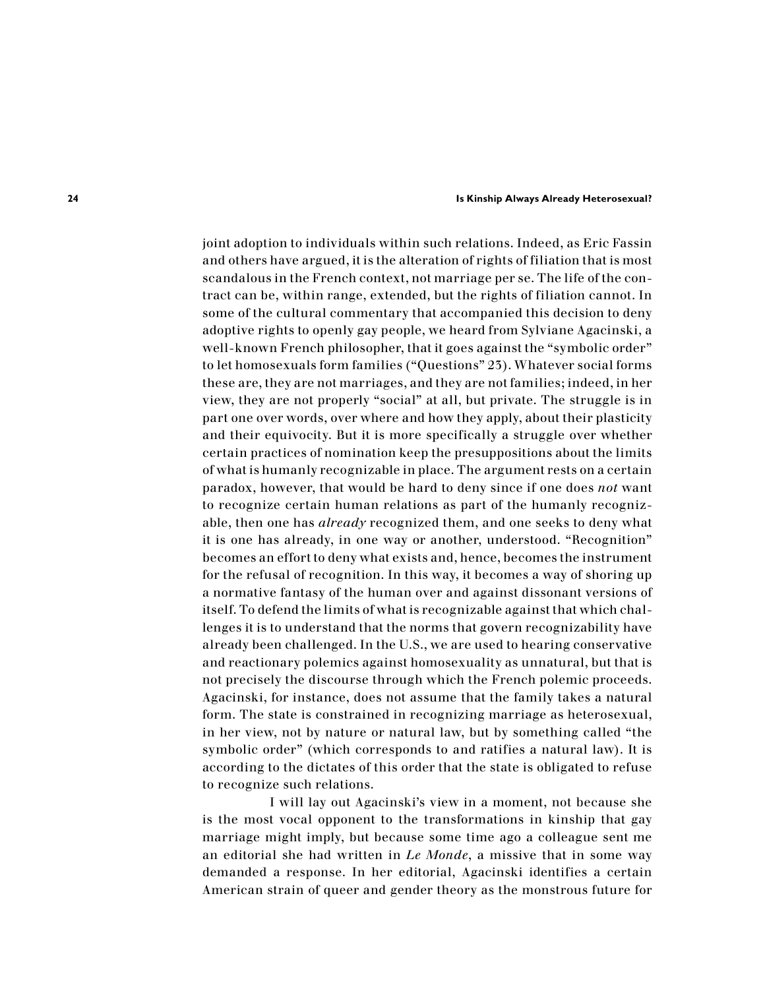joint adoption to individuals within such relations. Indeed, as Eric Fassin and others have argued, it is the alteration of rights of filiation that is most scandalous in the French context, not marriage per se. The life of the contract can be, within range, extended, but the rights of filiation cannot. In some of the cultural commentary that accompanied this decision to deny adoptive rights to openly gay people, we heard from Sylviane Agacinski, a well-known French philosopher, that it goes against the "symbolic order" to let homosexuals form families ("Questions" 23). Whatever social forms these are, they are not marriages, and they are not families; indeed, in her view, they are not properly "social" at all, but private. The struggle is in part one over words, over where and how they apply, about their plasticity and their equivocity. But it is more specifically a struggle over whether certain practices of nomination keep the presuppositions about the limits of what is humanly recognizable in place. The argument rests on a certain paradox, however, that would be hard to deny since if one does *not* want to recognize certain human relations as part of the humanly recognizable, then one has *already* recognized them, and one seeks to deny what it is one has already, in one way or another, understood. "Recognition" becomes an effort to deny what exists and, hence, becomes the instrument for the refusal of recognition. In this way, it becomes a way of shoring up a normative fantasy of the human over and against dissonant versions of itself. To defend the limits of what is recognizable against that which challenges it is to understand that the norms that govern recognizability have already been challenged. In the U.S., we are used to hearing conservative and reactionary polemics against homosexuality as unnatural, but that is not precisely the discourse through which the French polemic proceeds. Agacinski, for instance, does not assume that the family takes a natural form. The state is constrained in recognizing marriage as heterosexual, in her view, not by nature or natural law, but by something called "the symbolic order" (which corresponds to and ratifies a natural law). It is according to the dictates of this order that the state is obligated to refuse to recognize such relations.

I will lay out Agacinski's view in a moment, not because she is the most vocal opponent to the transformations in kinship that gay marriage might imply, but because some time ago a colleague sent me an editorial she had written in *Le Monde*, a missive that in some way demanded a response. In her editorial, Agacinski identifies a certain American strain of queer and gender theory as the monstrous future for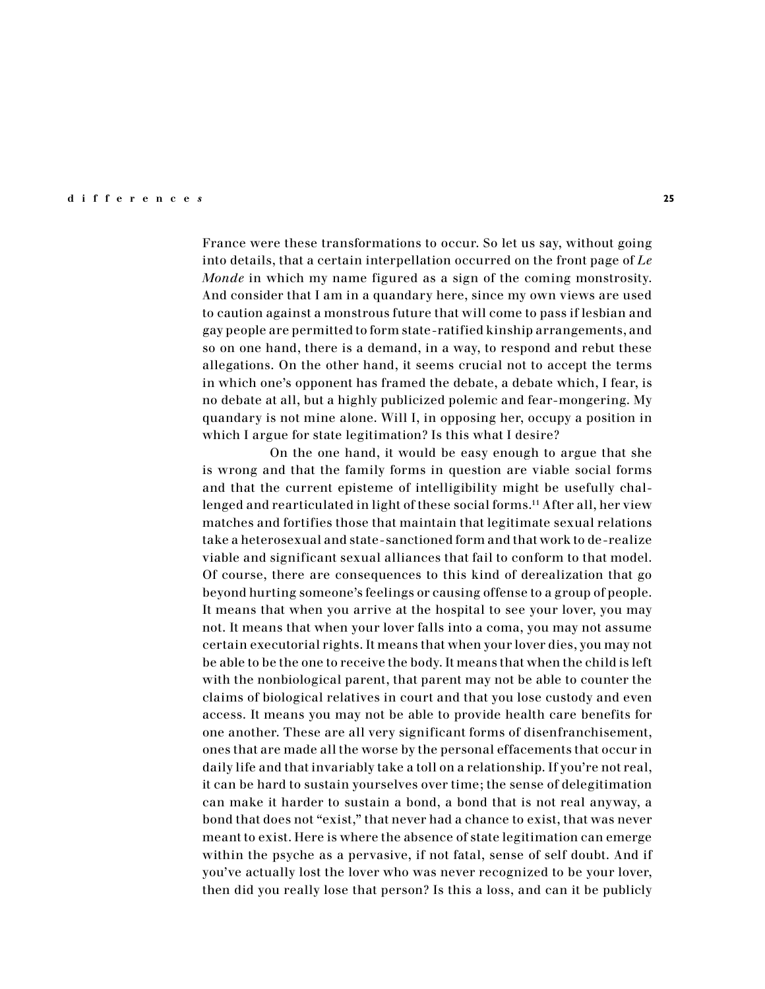France were these transformations to occur. So let us say, without going into details, that a certain interpellation occurred on the front page of *Le Monde* in which my name figured as a sign of the coming monstrosity. And consider that I am in a quandary here, since my own views are used to caution against a monstrous future that will come to pass if lesbian and gay people are permitted to form state-ratified kinship arrangements, and so on one hand, there is a demand, in a way, to respond and rebut these allegations. On the other hand, it seems crucial not to accept the terms in which one's opponent has framed the debate, a debate which, I fear, is no debate at all, but a highly publicized polemic and fear-mongering. My quandary is not mine alone. Will I, in opposing her, occupy a position in which I argue for state legitimation? Is this what I desire?

On the one hand, it would be easy enough to argue that she is wrong and that the family forms in question are viable social forms and that the current episteme of intelligibility might be usefully challenged and rearticulated in light of these social forms.<sup>11</sup> After all, her view matches and fortifies those that maintain that legitimate sexual relations take a heterosexual and state-sanctioned form and that work to de-realize viable and significant sexual alliances that fail to conform to that model. Of course, there are consequences to this kind of derealization that go beyond hurting someone's feelings or causing offense to a group of people. It means that when you arrive at the hospital to see your lover, you may not. It means that when your lover falls into a coma, you may not assume certain executorial rights. It means that when your lover dies, you may not be able to be the one to receive the body. It means that when the child is left with the nonbiological parent, that parent may not be able to counter the claims of biological relatives in court and that you lose custody and even access. It means you may not be able to provide health care benefits for one another. These are all very significant forms of disenfranchisement, ones that are made all the worse by the personal effacements that occur in daily life and that invariably take a toll on a relationship. If you're not real, it can be hard to sustain yourselves over time; the sense of delegitimation can make it harder to sustain a bond, a bond that is not real anyway, a bond that does not "exist," that never had a chance to exist, that was never meant to exist. Here is where the absence of state legitimation can emerge within the psyche as a pervasive, if not fatal, sense of self doubt. And if you've actually lost the lover who was never recognized to be your lover, then did you really lose that person? Is this a loss, and can it be publicly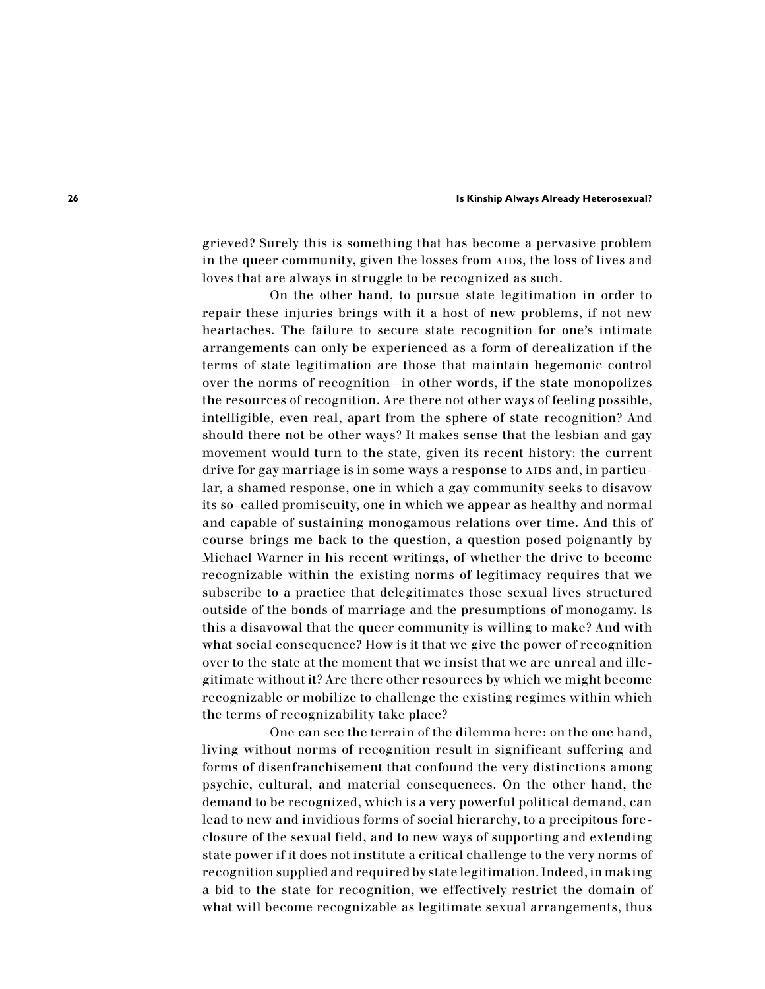grieved? Surely this is something that has become a pervasive problem in the queer community, given the losses from AIDS, the loss of lives and loves that are always in struggle to be recognized as such.

On the other hand, to pursue state legitimation in order to repair these injuries brings with it a host of new problems, if not new heartaches. The failure to secure state recognition for one's intimate arrangements can only be experienced as a form of derealization if the terms of state legitimation are those that maintain hegemonic control over the norms of recognition—in other words, if the state monopolizes the resources of recognition. Are there not other ways of feeling possible, intelligible, even real, apart from the sphere of state recognition? And should there not be other ways? It makes sense that the lesbian and gay movement would turn to the state, given its recent history: the current drive for gay marriage is in some ways a response to AIDS and, in particular, a shamed response, one in which a gay community seeks to disavow its so-called promiscuity, one in which we appear as healthy and normal and capable of sustaining monogamous relations over time. And this of course brings me back to the question, a question posed poignantly by Michael Warner in his recent writings, of whether the drive to become recognizable within the existing norms of legitimacy requires that we subscribe to a practice that delegitimates those sexual lives structured outside of the bonds of marriage and the presumptions of monogamy. Is this a disavowal that the queer community is willing to make? And with what social consequence? How is it that we give the power of recognition over to the state at the moment that we insist that we are unreal and illegitimate without it? Are there other resources by which we might become recognizable or mobilize to challenge the existing regimes within which the terms of recognizability take place?

One can see the terrain of the dilemma here: on the one hand, living without norms of recognition result in significant suffering and forms of disenfranchisement that confound the very distinctions among psychic, cultural, and material consequences. On the other hand, the demand to be recognized, which is a very powerful political demand, can lead to new and invidious forms of social hierarchy, to a precipitous foreclosure of the sexual field, and to new ways of supporting and extending state power if it does not institute a critical challenge to the very norms of recognition supplied and required by state legitimation. Indeed, in making a bid to the state for recognition, we effectively restrict the domain of what will become recognizable as legitimate sexual arrangements, thus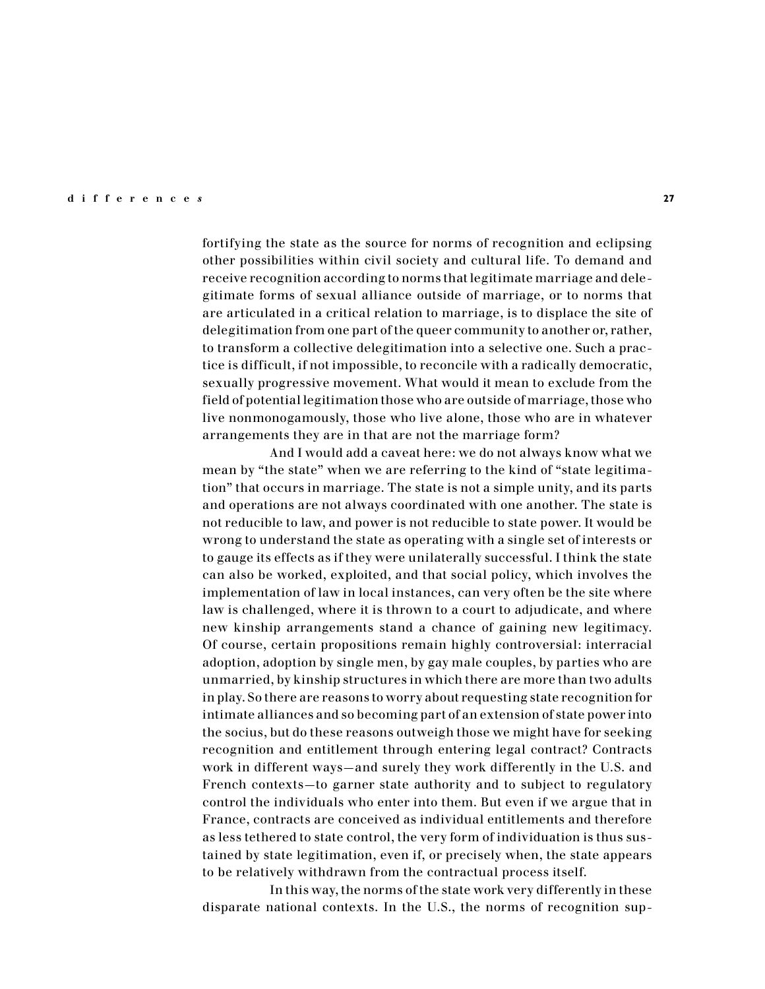fortifying the state as the source for norms of recognition and eclipsing other possibilities within civil society and cultural life. To demand and receive recognition according to norms that legitimate marriage and delegitimate forms of sexual alliance outside of marriage, or to norms that are articulated in a critical relation to marriage, is to displace the site of delegitimation from one part of the queer community to another or, rather, to transform a collective delegitimation into a selective one. Such a practice is difficult, if not impossible, to reconcile with a radically democratic, sexually progressive movement. What would it mean to exclude from the field of potential legitimation those who are outside of marriage, those who live nonmonogamously, those who live alone, those who are in whatever arrangements they are in that are not the marriage form?

And I would add a caveat here: we do not always know what we mean by "the state" when we are referring to the kind of "state legitimation" that occurs in marriage. The state is not a simple unity, and its parts and operations are not always coordinated with one another. The state is not reducible to law, and power is not reducible to state power. It would be wrong to understand the state as operating with a single set of interests or to gauge its effects as if they were unilaterally successful. I think the state can also be worked, exploited, and that social policy, which involves the implementation of law in local instances, can very often be the site where law is challenged, where it is thrown to a court to adjudicate, and where new kinship arrangements stand a chance of gaining new legitimacy. Of course, certain propositions remain highly controversial: interracial adoption, adoption by single men, by gay male couples, by parties who are unmarried, by kinship structures in which there are more than two adults in play. So there are reasons to worry about requesting state recognition for intimate alliances and so becoming part of an extension of state power into the socius, but do these reasons outweigh those we might have for seeking recognition and entitlement through entering legal contract? Contracts work in different ways—and surely they work differently in the U.S. and French contexts—to garner state authority and to subject to regulatory control the individuals who enter into them. But even if we argue that in France, contracts are conceived as individual entitlements and therefore as less tethered to state control, the very form of individuation is thus sustained by state legitimation, even if, or precisely when, the state appears to be relatively withdrawn from the contractual process itself.

In this way, the norms of the state work very differently in these disparate national contexts. In the U.S., the norms of recognition sup-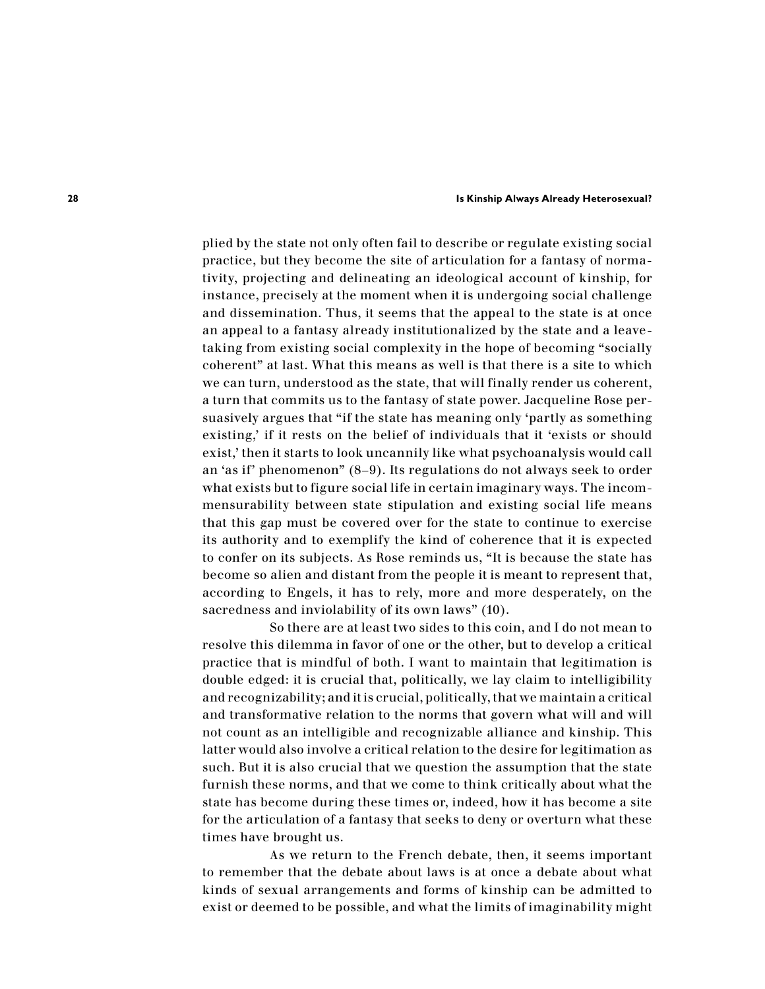plied by the state not only often fail to describe or regulate existing social practice, but they become the site of articulation for a fantasy of normativity, projecting and delineating an ideological account of kinship, for instance, precisely at the moment when it is undergoing social challenge and dissemination. Thus, it seems that the appeal to the state is at once an appeal to a fantasy already institutionalized by the state and a leavetaking from existing social complexity in the hope of becoming "socially coherent" at last. What this means as well is that there is a site to which we can turn, understood as the state, that will finally render us coherent, a turn that commits us to the fantasy of state power. Jacqueline Rose persuasively argues that "if the state has meaning only 'partly as something existing,' if it rests on the belief of individuals that it 'exists or should exist,' then it starts to look uncannily like what psychoanalysis would call an 'as if' phenomenon" (8–9). Its regulations do not always seek to order what exists but to figure social life in certain imaginary ways. The incommensurability between state stipulation and existing social life means that this gap must be covered over for the state to continue to exercise its authority and to exemplify the kind of coherence that it is expected to confer on its subjects. As Rose reminds us, "It is because the state has become so alien and distant from the people it is meant to represent that, according to Engels, it has to rely, more and more desperately, on the sacredness and inviolability of its own laws" (10).

So there are at least two sides to this coin, and I do not mean to resolve this dilemma in favor of one or the other, but to develop a critical practice that is mindful of both. I want to maintain that legitimation is double edged: it is crucial that, politically, we lay claim to intelligibility and recognizability; and it is crucial, politically, that we maintain a critical and transformative relation to the norms that govern what will and will not count as an intelligible and recognizable alliance and kinship. This latter would also involve a critical relation to the desire for legitimation as such. But it is also crucial that we question the assumption that the state furnish these norms, and that we come to think critically about what the state has become during these times or, indeed, how it has become a site for the articulation of a fantasy that seeks to deny or overturn what these times have brought us.

As we return to the French debate, then, it seems important to remember that the debate about laws is at once a debate about what kinds of sexual arrangements and forms of kinship can be admitted to exist or deemed to be possible, and what the limits of imaginability might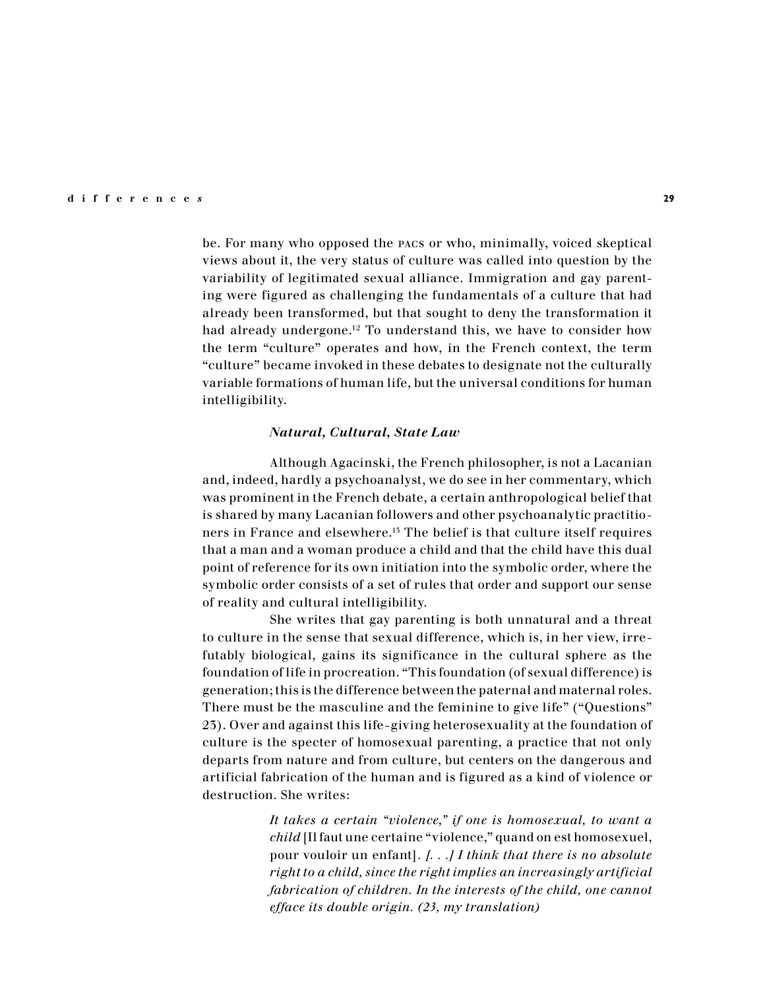be. For many who opposed the pacs or who, minimally, voiced skeptical views about it, the very status of culture was called into question by the variability of legitimated sexual alliance. Immigration and gay parenting were figured as challenging the fundamentals of a culture that had already been transformed, but that sought to deny the transformation it had already undergone.12 To understand this, we have to consider how the term "culture" operates and how, in the French context, the term "culture" became invoked in these debates to designate not the culturally variable formations of human life, but the universal conditions for human intelligibility.

# *Natural, Cultural, State Law*

Although Agacinski, the French philosopher, is not a Lacanian and, indeed, hardly a psychoanalyst, we do see in her commentary, which was prominent in the French debate, a certain anthropological belief that is shared by many Lacanian followers and other psychoanalytic practitioners in France and elsewhere.13 The belief is that culture itself requires that a man and a woman produce a child and that the child have this dual point of reference for its own initiation into the symbolic order, where the symbolic order consists of a set of rules that order and support our sense of reality and cultural intelligibility.

She writes that gay parenting is both unnatural and a threat to culture in the sense that sexual difference, which is, in her view, irrefutably biological, gains its significance in the cultural sphere as the foundation of life in procreation. "This foundation (of sexual difference) is generation; this is the difference between the paternal and maternal roles. There must be the masculine and the feminine to give life" ("Questions" 23). Over and against this life-giving heterosexuality at the foundation of culture is the specter of homosexual parenting, a practice that not only departs from nature and from culture, but centers on the dangerous and artificial fabrication of the human and is figured as a kind of violence or destruction. She writes:

> *It takes a certain "violence," if one is homosexual, to want a child* [Il faut une certaine "violence," quand on est homosexuel, pour vouloir un enfant]*. [. . .] I think that there is no absolute right to a child, since the right implies an increasingly artificial fabrication of children. In the interests of the child, one cannot efface its double origin. (23, my translation)*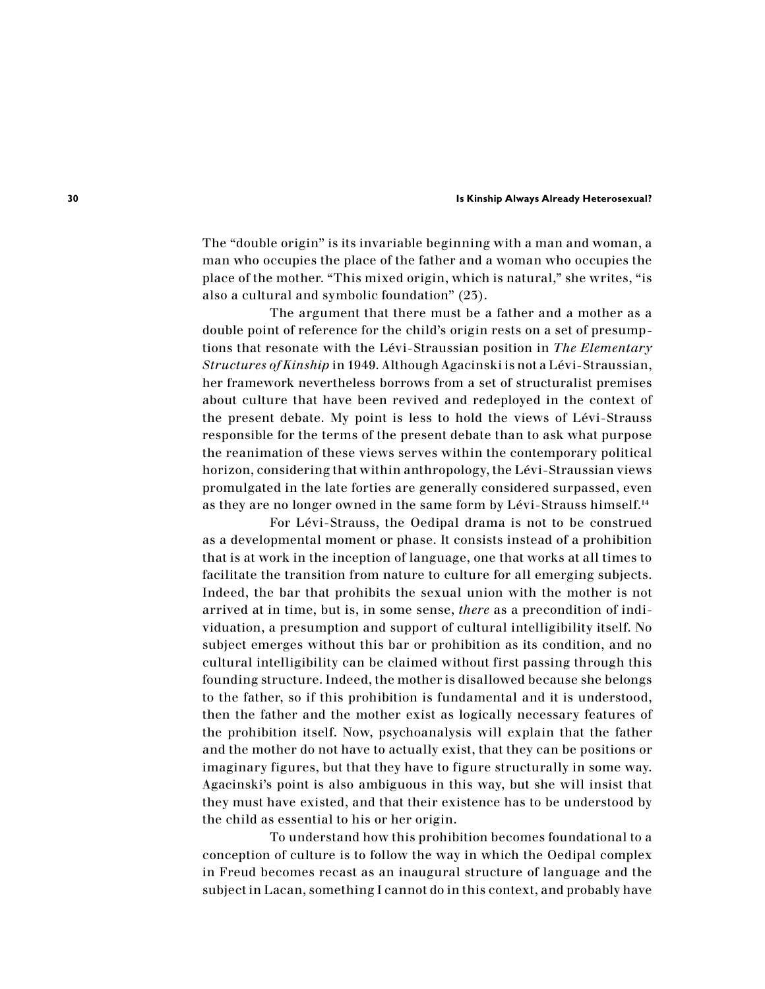The "double origin" is its invariable beginning with a man and woman, a man who occupies the place of the father and a woman who occupies the place of the mother. "This mixed origin, which is natural," she writes, "is also a cultural and symbolic foundation" (23).

The argument that there must be a father and a mother as a double point of reference for the child's origin rests on a set of presumptions that resonate with the Lévi-Straussian position in *The Elementary Structures of Kinship* in 1949. Although Agacinski is not a Lévi-Straussian, her framework nevertheless borrows from a set of structuralist premises about culture that have been revived and redeployed in the context of the present debate. My point is less to hold the views of Lévi-Strauss responsible for the terms of the present debate than to ask what purpose the reanimation of these views serves within the contemporary political horizon, considering that within anthropology, the Lévi-Straussian views promulgated in the late forties are generally considered surpassed, even as they are no longer owned in the same form by Lévi-Strauss himself.14

For Lévi-Strauss, the Oedipal drama is not to be construed as a developmental moment or phase. It consists instead of a prohibition that is at work in the inception of language, one that works at all times to facilitate the transition from nature to culture for all emerging subjects. Indeed, the bar that prohibits the sexual union with the mother is not arrived at in time, but is, in some sense, *there* as a precondition of individuation, a presumption and support of cultural intelligibility itself. No subject emerges without this bar or prohibition as its condition, and no cultural intelligibility can be claimed without first passing through this founding structure. Indeed, the mother is disallowed because she belongs to the father, so if this prohibition is fundamental and it is understood, then the father and the mother exist as logically necessary features of the prohibition itself. Now, psychoanalysis will explain that the father and the mother do not have to actually exist, that they can be positions or imaginary figures, but that they have to figure structurally in some way. Agacinski's point is also ambiguous in this way, but she will insist that they must have existed, and that their existence has to be understood by the child as essential to his or her origin.

To understand how this prohibition becomes foundational to a conception of culture is to follow the way in which the Oedipal complex in Freud becomes recast as an inaugural structure of language and the subject in Lacan, something I cannot do in this context, and probably have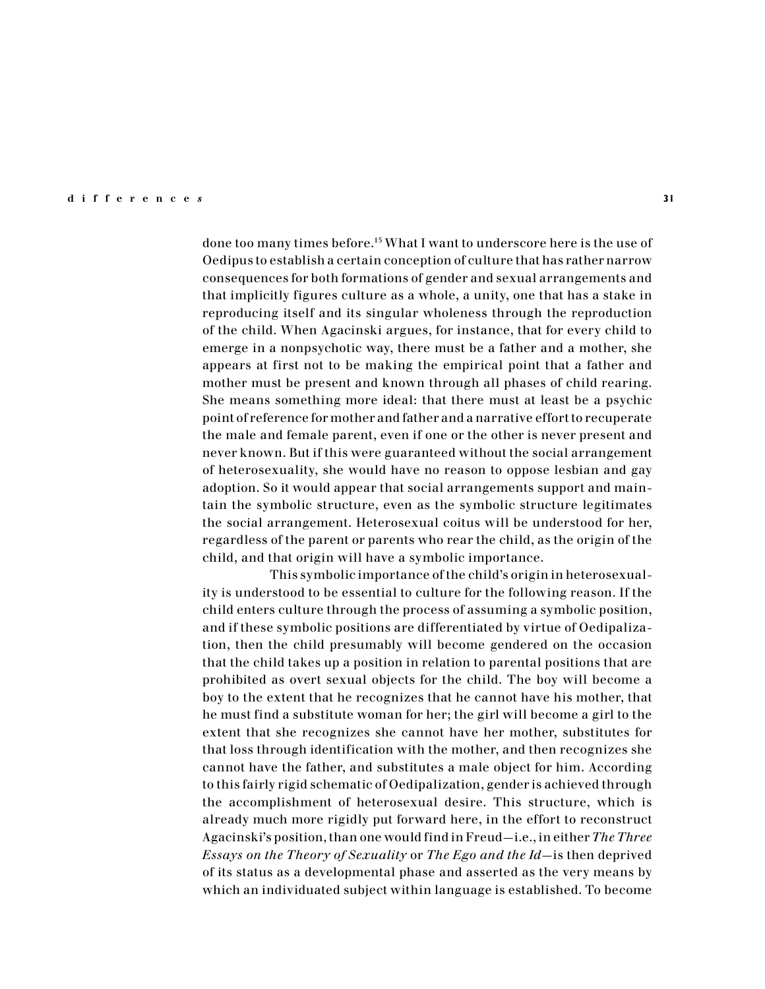done too many times before.15 What I want to underscore here is the use of Oedipus to establish a certain conception of culture that has rather narrow consequences for both formations of gender and sexual arrangements and that implicitly figures culture as a whole, a unity, one that has a stake in reproducing itself and its singular wholeness through the reproduction of the child. When Agacinski argues, for instance, that for every child to emerge in a nonpsychotic way, there must be a father and a mother, she appears at first not to be making the empirical point that a father and mother must be present and known through all phases of child rearing. She means something more ideal: that there must at least be a psychic point of reference for mother and father and a narrative effort to recuperate the male and female parent, even if one or the other is never present and never known. But if this were guaranteed without the social arrangement of heterosexuality, she would have no reason to oppose lesbian and gay adoption. So it would appear that social arrangements support and maintain the symbolic structure, even as the symbolic structure legitimates the social arrangement. Heterosexual coitus will be understood for her, regardless of the parent or parents who rear the child, as the origin of the child, and that origin will have a symbolic importance.

This symbolic importance of the child's origin in heterosexuality is understood to be essential to culture for the following reason. If the child enters culture through the process of assuming a symbolic position, and if these symbolic positions are differentiated by virtue of Oedipalization, then the child presumably will become gendered on the occasion that the child takes up a position in relation to parental positions that are prohibited as overt sexual objects for the child. The boy will become a boy to the extent that he recognizes that he cannot have his mother, that he must find a substitute woman for her; the girl will become a girl to the extent that she recognizes she cannot have her mother, substitutes for that loss through identification with the mother, and then recognizes she cannot have the father, and substitutes a male object for him. According to this fairly rigid schematic of Oedipalization, gender is achieved through the accomplishment of heterosexual desire. This structure, which is already much more rigidly put forward here, in the effort to reconstruct Agacinski's position, than one would find in Freud—i.e., in either *The Three Essays on the Theory of Sexuality* or *The Ego and the Id*—is then deprived of its status as a developmental phase and asserted as the very means by which an individuated subject within language is established. To become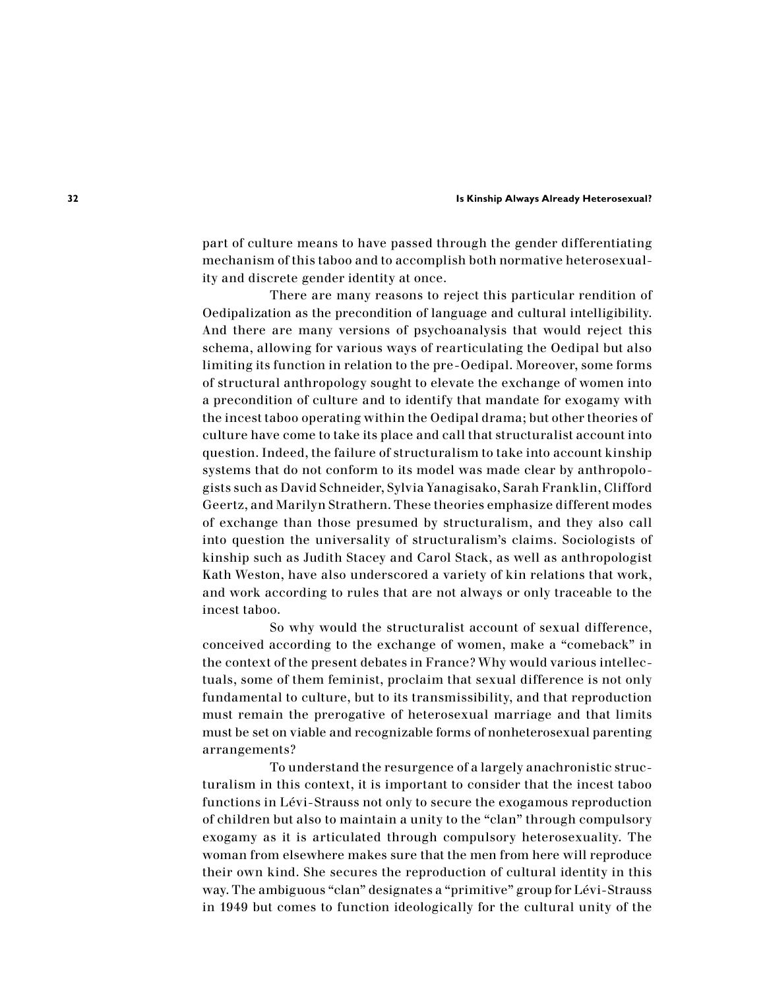part of culture means to have passed through the gender differentiating mechanism of this taboo and to accomplish both normative heterosexuality and discrete gender identity at once.

There are many reasons to reject this particular rendition of Oedipalization as the precondition of language and cultural intelligibility. And there are many versions of psychoanalysis that would reject this schema, allowing for various ways of rearticulating the Oedipal but also limiting its function in relation to the pre-Oedipal. Moreover, some forms of structural anthropology sought to elevate the exchange of women into a precondition of culture and to identify that mandate for exogamy with the incest taboo operating within the Oedipal drama; but other theories of culture have come to take its place and call that structuralist account into question. Indeed, the failure of structuralism to take into account kinship systems that do not conform to its model was made clear by anthropologists such as David Schneider, Sylvia Yanagisako, Sarah Franklin, Clifford Geertz, and Marilyn Strathern. These theories emphasize different modes of exchange than those presumed by structuralism, and they also call into question the universality of structuralism's claims. Sociologists of kinship such as Judith Stacey and Carol Stack, as well as anthropologist Kath Weston, have also underscored a variety of kin relations that work, and work according to rules that are not always or only traceable to the incest taboo.

So why would the structuralist account of sexual difference, conceived according to the exchange of women, make a "comeback" in the context of the present debates in France? Why would various intellectuals, some of them feminist, proclaim that sexual difference is not only fundamental to culture, but to its transmissibility, and that reproduction must remain the prerogative of heterosexual marriage and that limits must be set on viable and recognizable forms of nonheterosexual parenting arrangements?

To understand the resurgence of a largely anachronistic structuralism in this context, it is important to consider that the incest taboo functions in Lévi-Strauss not only to secure the exogamous reproduction of children but also to maintain a unity to the "clan" through compulsory exogamy as it is articulated through compulsory heterosexuality. The woman from elsewhere makes sure that the men from here will reproduce their own kind. She secures the reproduction of cultural identity in this way. The ambiguous "clan" designates a "primitive" group for Lévi-Strauss in 1949 but comes to function ideologically for the cultural unity of the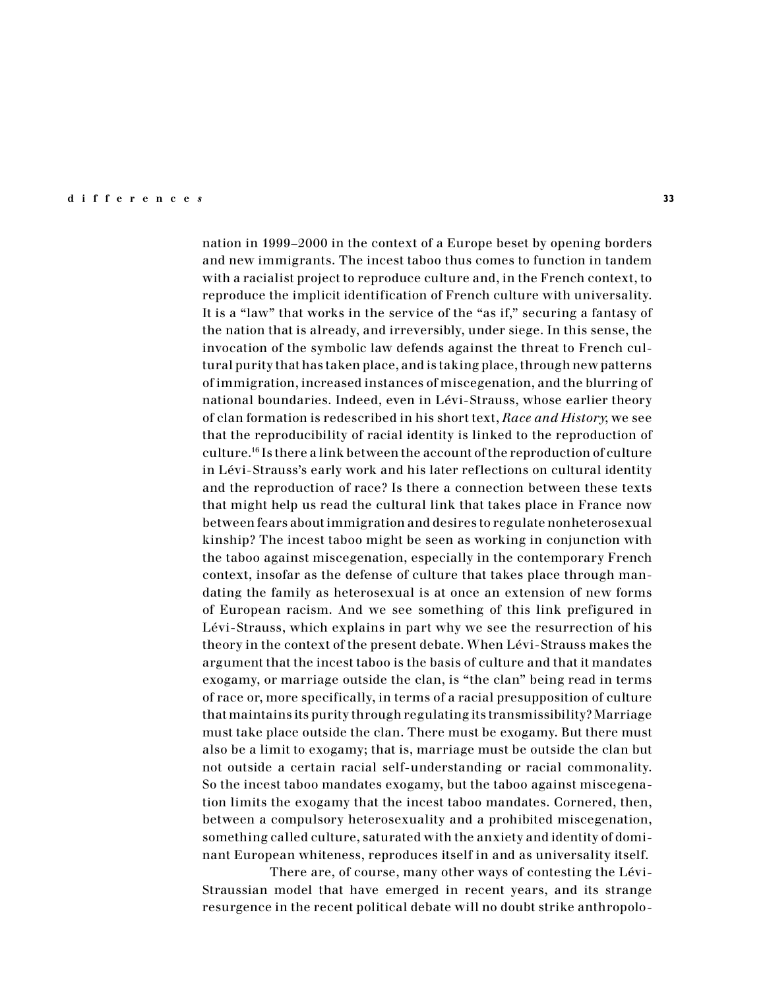nation in 1999–2000 in the context of a Europe beset by opening borders and new immigrants. The incest taboo thus comes to function in tandem with a racialist project to reproduce culture and, in the French context, to reproduce the implicit identification of French culture with universality. It is a "law" that works in the service of the "as if," securing a fantasy of the nation that is already, and irreversibly, under siege. In this sense, the invocation of the symbolic law defends against the threat to French cultural purity that has taken place, and is taking place, through new patterns of immigration, increased instances of miscegenation, and the blurring of national boundaries. Indeed, even in Lévi-Strauss, whose earlier theory of clan formation is redescribed in his short text, *Race and History*, we see that the reproducibility of racial identity is linked to the reproduction of culture.16 Is there a link between the account of the reproduction of culture in Lévi-Strauss's early work and his later reflections on cultural identity and the reproduction of race? Is there a connection between these texts that might help us read the cultural link that takes place in France now between fears about immigration and desires to regulate nonheterosexual kinship? The incest taboo might be seen as working in conjunction with the taboo against miscegenation, especially in the contemporary French context, insofar as the defense of culture that takes place through mandating the family as heterosexual is at once an extension of new forms of European racism. And we see something of this link prefigured in Lévi-Strauss, which explains in part why we see the resurrection of his theory in the context of the present debate. When Lévi-Strauss makes the argument that the incest taboo is the basis of culture and that it mandates exogamy, or marriage outside the clan, is "the clan" being read in terms of race or, more specifically, in terms of a racial presupposition of culture that maintains its purity through regulating its transmissibility? Marriage must take place outside the clan. There must be exogamy. But there must also be a limit to exogamy; that is, marriage must be outside the clan but not outside a certain racial self-understanding or racial commonality. So the incest taboo mandates exogamy, but the taboo against miscegenation limits the exogamy that the incest taboo mandates. Cornered, then, between a compulsory heterosexuality and a prohibited miscegenation, something called culture, saturated with the anxiety and identity of dominant European whiteness, reproduces itself in and as universality itself.

There are, of course, many other ways of contesting the Lévi-Straussian model that have emerged in recent years, and its strange resurgence in the recent political debate will no doubt strike anthropolo-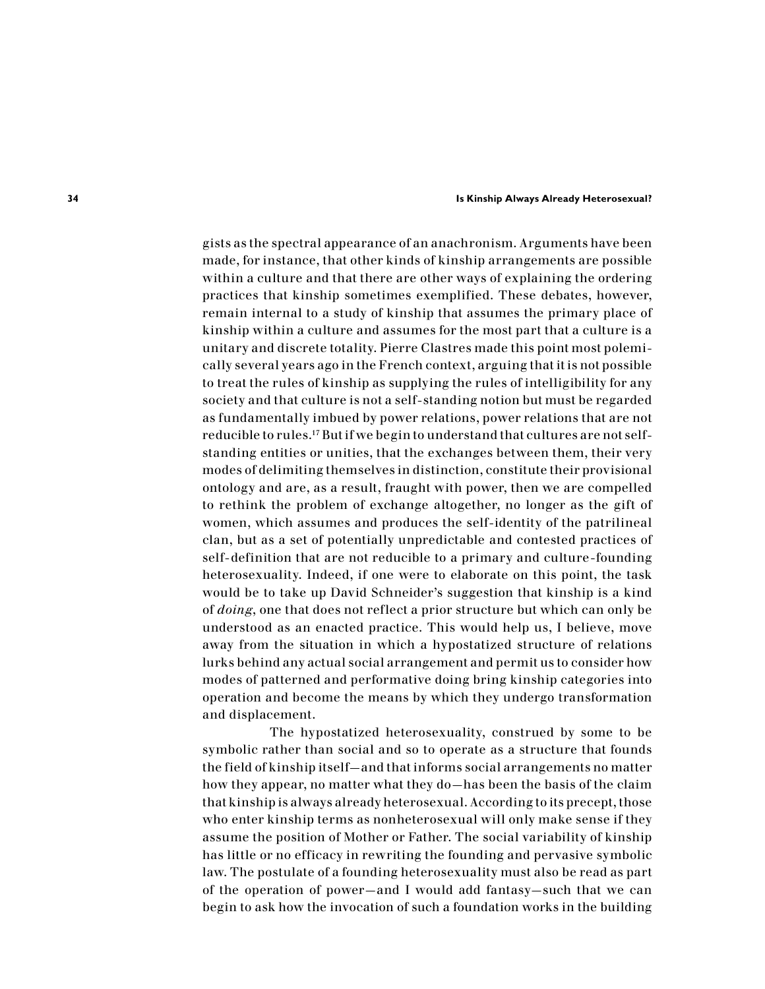gists as the spectral appearance of an anachronism. Arguments have been made, for instance, that other kinds of kinship arrangements are possible within a culture and that there are other ways of explaining the ordering practices that kinship sometimes exemplified. These debates, however, remain internal to a study of kinship that assumes the primary place of kinship within a culture and assumes for the most part that a culture is a unitary and discrete totality. Pierre Clastres made this point most polemically several years ago in the French context, arguing that it is not possible to treat the rules of kinship as supplying the rules of intelligibility for any society and that culture is not a self-standing notion but must be regarded as fundamentally imbued by power relations, power relations that are not reducible to rules.17 But if we begin to understand that cultures are not selfstanding entities or unities, that the exchanges between them, their very modes of delimiting themselves in distinction, constitute their provisional ontology and are, as a result, fraught with power, then we are compelled to rethink the problem of exchange altogether, no longer as the gift of women, which assumes and produces the self-identity of the patrilineal clan, but as a set of potentially unpredictable and contested practices of self-definition that are not reducible to a primary and culture-founding heterosexuality. Indeed, if one were to elaborate on this point, the task would be to take up David Schneider's suggestion that kinship is a kind of *doing*, one that does not reflect a prior structure but which can only be understood as an enacted practice. This would help us, I believe, move away from the situation in which a hypostatized structure of relations lurks behind any actual social arrangement and permit us to consider how modes of patterned and performative doing bring kinship categories into operation and become the means by which they undergo transformation and displacement.

The hypostatized heterosexuality, construed by some to be symbolic rather than social and so to operate as a structure that founds the field of kinship itself—and that informs social arrangements no matter how they appear, no matter what they do—has been the basis of the claim that kinship is always already heterosexual. According to its precept, those who enter kinship terms as nonheterosexual will only make sense if they assume the position of Mother or Father. The social variability of kinship has little or no efficacy in rewriting the founding and pervasive symbolic law. The postulate of a founding heterosexuality must also be read as part of the operation of power—and I would add fantasy—such that we can begin to ask how the invocation of such a foundation works in the building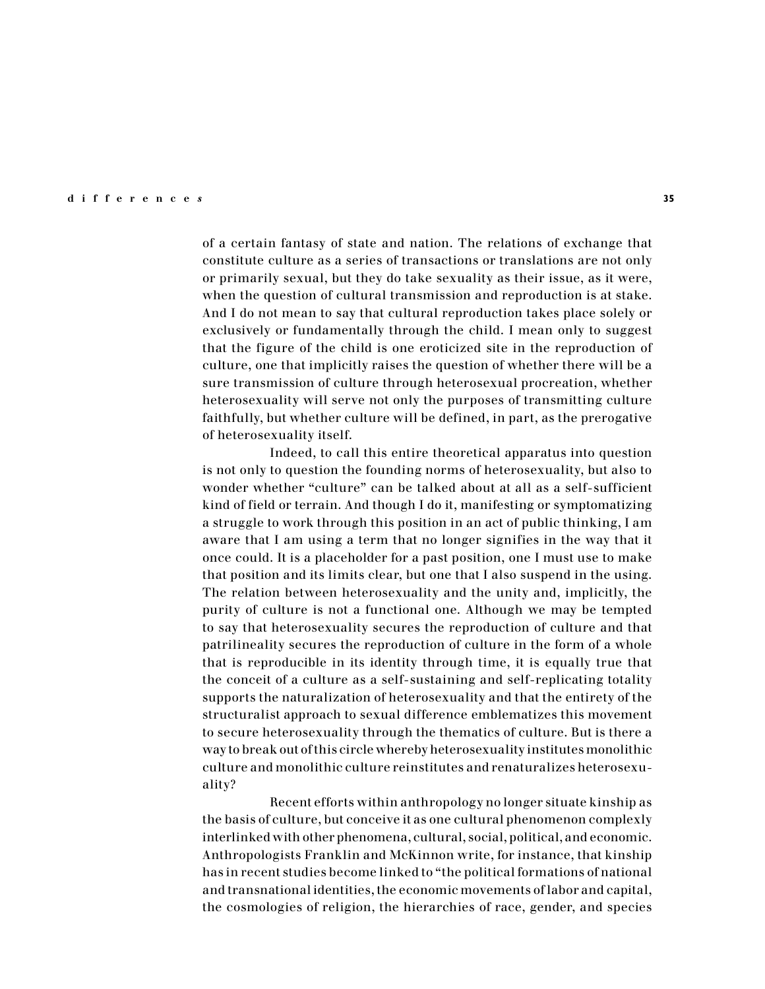of a certain fantasy of state and nation. The relations of exchange that constitute culture as a series of transactions or translations are not only or primarily sexual, but they do take sexuality as their issue, as it were, when the question of cultural transmission and reproduction is at stake. And I do not mean to say that cultural reproduction takes place solely or exclusively or fundamentally through the child. I mean only to suggest that the figure of the child is one eroticized site in the reproduction of culture, one that implicitly raises the question of whether there will be a sure transmission of culture through heterosexual procreation, whether heterosexuality will serve not only the purposes of transmitting culture faithfully, but whether culture will be defined, in part, as the prerogative of heterosexuality itself.

Indeed, to call this entire theoretical apparatus into question is not only to question the founding norms of heterosexuality, but also to wonder whether "culture" can be talked about at all as a self-sufficient kind of field or terrain. And though I do it, manifesting or symptomatizing a struggle to work through this position in an act of public thinking, I am aware that I am using a term that no longer signifies in the way that it once could. It is a placeholder for a past position, one I must use to make that position and its limits clear, but one that I also suspend in the using. The relation between heterosexuality and the unity and, implicitly, the purity of culture is not a functional one. Although we may be tempted to say that heterosexuality secures the reproduction of culture and that patrilineality secures the reproduction of culture in the form of a whole that is reproducible in its identity through time, it is equally true that the conceit of a culture as a self-sustaining and self-replicating totality supports the naturalization of heterosexuality and that the entirety of the structuralist approach to sexual difference emblematizes this movement to secure heterosexuality through the thematics of culture. But is there a way to break out of this circle whereby heterosexuality institutes monolithic culture and monolithic culture reinstitutes and renaturalizes heterosexuality?

Recent efforts within anthropology no longer situate kinship as the basis of culture, but conceive it as one cultural phenomenon complexly interlinked with other phenomena, cultural, social, political, and economic. Anthropologists Franklin and McKinnon write, for instance, that kinship has in recent studies become linked to "the political formations of national and transnational identities, the economic movements of labor and capital, the cosmologies of religion, the hierarchies of race, gender, and species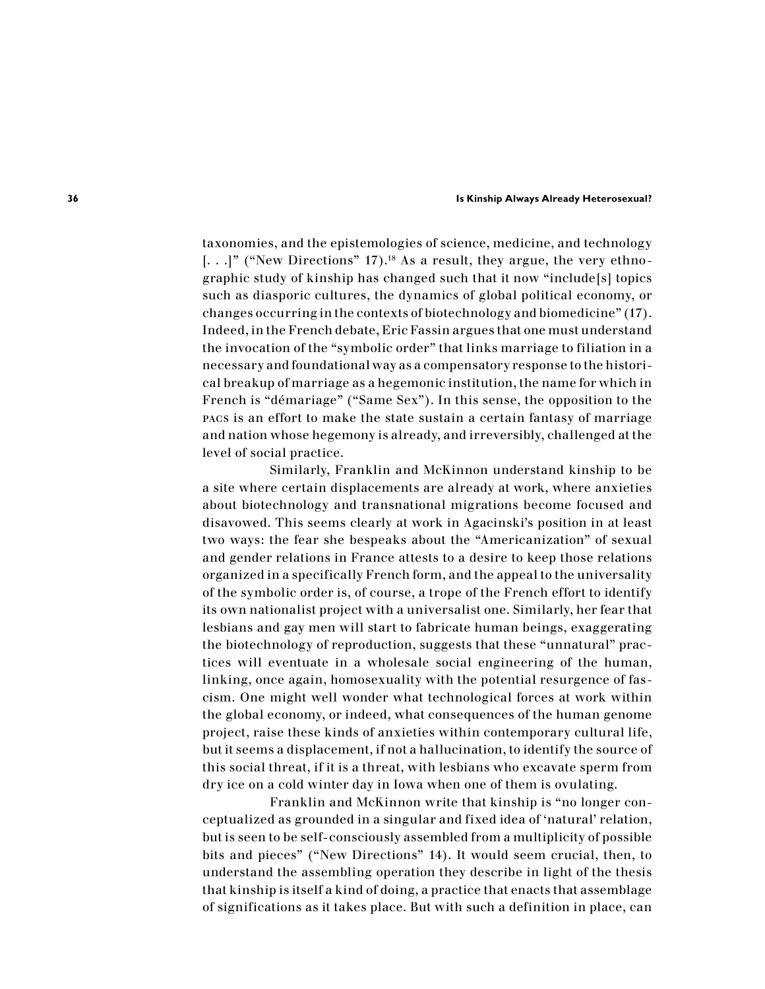taxonomies, and the epistemologies of science, medicine, and technology [...]" ("New Directions" 17).<sup>18</sup> As a result, they argue, the very ethnographic study of kinship has changed such that it now "include[s] topics such as diasporic cultures, the dynamics of global political economy, or changes occurring in the contexts of biotechnology and biomedicine" (17). Indeed, in the French debate, Eric Fassin argues that one must understand the invocation of the "symbolic order" that links marriage to filiation in a necessary and foundational way as a compensatory response to the historical breakup of marriage as a hegemonic institution, the name for which in French is "démariage" ("Same Sex"). In this sense, the opposition to the pacs is an effort to make the state sustain a certain fantasy of marriage and nation whose hegemony is already, and irreversibly, challenged at the level of social practice.

Similarly, Franklin and McKinnon understand kinship to be a site where certain displacements are already at work, where anxieties about biotechnology and transnational migrations become focused and disavowed. This seems clearly at work in Agacinski's position in at least two ways: the fear she bespeaks about the "Americanization" of sexual and gender relations in France attests to a desire to keep those relations organized in a specifically French form, and the appeal to the universality of the symbolic order is, of course, a trope of the French effort to identify its own nationalist project with a universalist one. Similarly, her fear that lesbians and gay men will start to fabricate human beings, exaggerating the biotechnology of reproduction, suggests that these "unnatural" practices will eventuate in a wholesale social engineering of the human, linking, once again, homosexuality with the potential resurgence of fascism. One might well wonder what technological forces at work within the global economy, or indeed, what consequences of the human genome project, raise these kinds of anxieties within contemporary cultural life, but it seems a displacement, if not a hallucination, to identify the source of this social threat, if it is a threat, with lesbians who excavate sperm from dry ice on a cold winter day in Iowa when one of them is ovulating.

Franklin and McKinnon write that kinship is "no longer conceptualized as grounded in a singular and fixed idea of 'natural' relation, but is seen to be self-consciously assembled from a multiplicity of possible bits and pieces" ("New Directions" 14). It would seem crucial, then, to understand the assembling operation they describe in light of the thesis that kinship is itself a kind of doing, a practice that enacts that assemblage of significations as it takes place. But with such a definition in place, can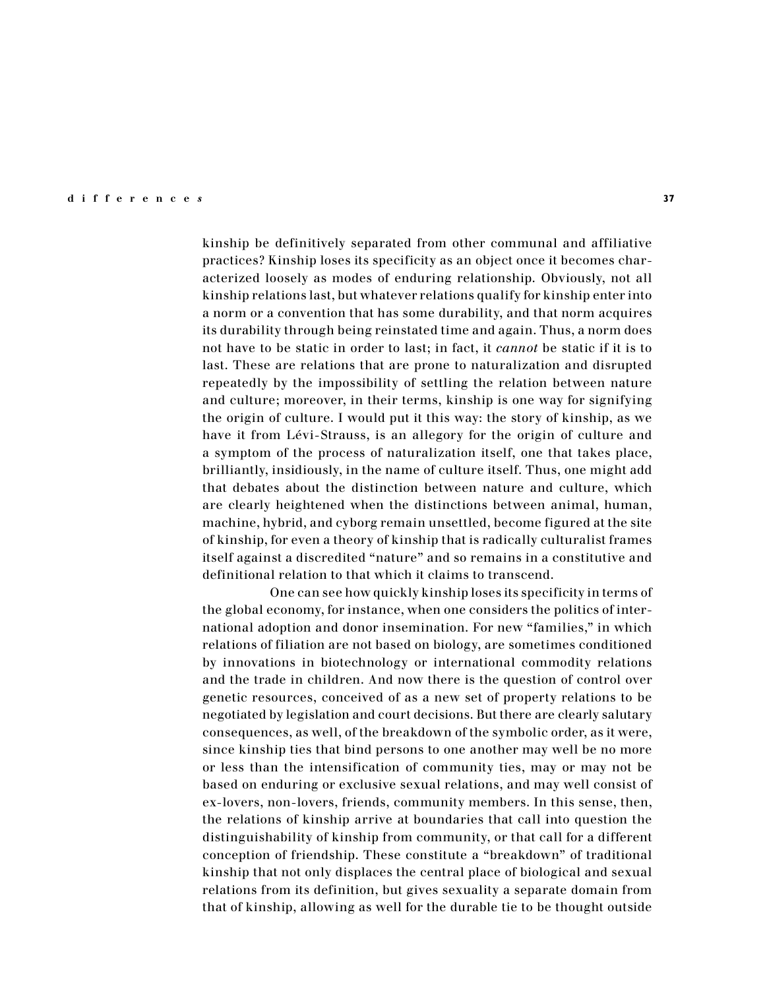kinship be definitively separated from other communal and affiliative practices? Kinship loses its specificity as an object once it becomes characterized loosely as modes of enduring relationship. Obviously, not all kinship relations last, but whatever relations qualify for kinship enter into a norm or a convention that has some durability, and that norm acquires its durability through being reinstated time and again. Thus, a norm does not have to be static in order to last; in fact, it *cannot* be static if it is to last. These are relations that are prone to naturalization and disrupted repeatedly by the impossibility of settling the relation between nature and culture; moreover, in their terms, kinship is one way for signifying the origin of culture. I would put it this way: the story of kinship, as we have it from Lévi-Strauss, is an allegory for the origin of culture and a symptom of the process of naturalization itself, one that takes place, brilliantly, insidiously, in the name of culture itself. Thus, one might add that debates about the distinction between nature and culture, which are clearly heightened when the distinctions between animal, human, machine, hybrid, and cyborg remain unsettled, become figured at the site of kinship, for even a theory of kinship that is radically culturalist frames itself against a discredited "nature" and so remains in a constitutive and definitional relation to that which it claims to transcend.

One can see how quickly kinship loses its specificity in terms of the global economy, for instance, when one considers the politics of international adoption and donor insemination. For new "families," in which relations of filiation are not based on biology, are sometimes conditioned by innovations in biotechnology or international commodity relations and the trade in children. And now there is the question of control over genetic resources, conceived of as a new set of property relations to be negotiated by legislation and court decisions. But there are clearly salutary consequences, as well, of the breakdown of the symbolic order, as it were, since kinship ties that bind persons to one another may well be no more or less than the intensification of community ties, may or may not be based on enduring or exclusive sexual relations, and may well consist of ex-lovers, non-lovers, friends, community members. In this sense, then, the relations of kinship arrive at boundaries that call into question the distinguishability of kinship from community, or that call for a different conception of friendship. These constitute a "breakdown" of traditional kinship that not only displaces the central place of biological and sexual relations from its definition, but gives sexuality a separate domain from that of kinship, allowing as well for the durable tie to be thought outside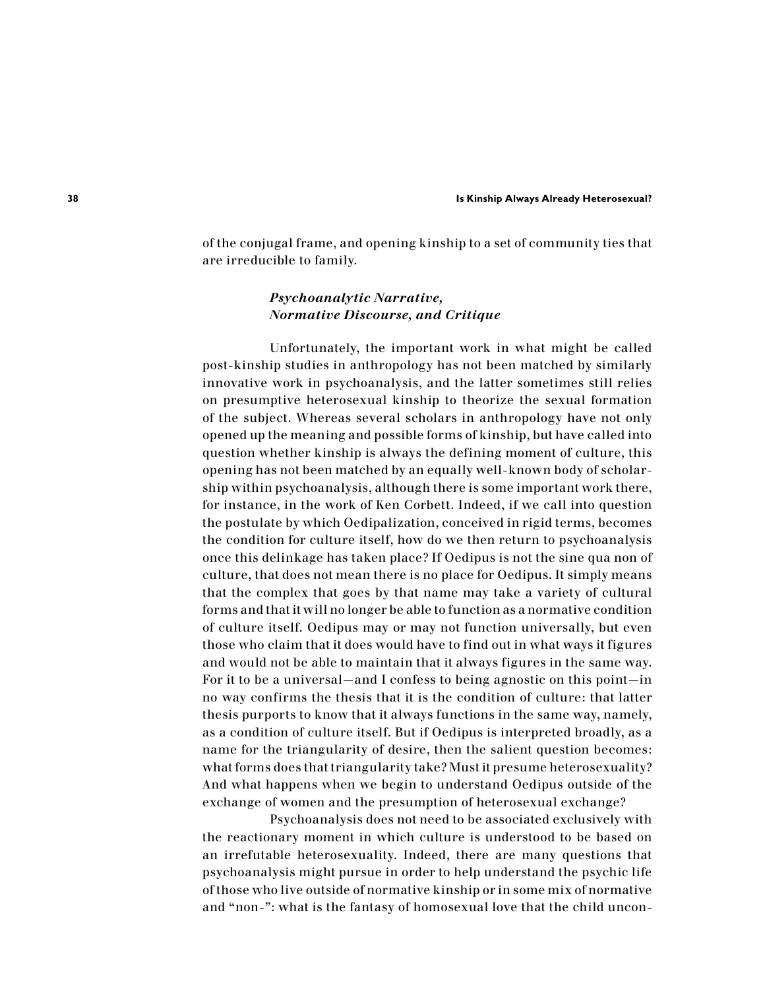of the conjugal frame, and opening kinship to a set of community ties that are irreducible to family.

# *Psychoanalytic Narrative, Normative Discourse, and Critique*

Unfortunately, the important work in what might be called post-kinship studies in anthropology has not been matched by similarly innovative work in psychoanalysis, and the latter sometimes still relies on presumptive heterosexual kinship to theorize the sexual formation of the subject. Whereas several scholars in anthropology have not only opened up the meaning and possible forms of kinship, but have called into question whether kinship is always the defining moment of culture, this opening has not been matched by an equally well-known body of scholarship within psychoanalysis, although there is some important work there, for instance, in the work of Ken Corbett. Indeed, if we call into question the postulate by which Oedipalization, conceived in rigid terms, becomes the condition for culture itself, how do we then return to psychoanalysis once this delinkage has taken place? If Oedipus is not the sine qua non of culture, that does not mean there is no place for Oedipus. It simply means that the complex that goes by that name may take a variety of cultural forms and that it will no longer be able to function as a normative condition of culture itself. Oedipus may or may not function universally, but even those who claim that it does would have to find out in what ways it figures and would not be able to maintain that it always figures in the same way. For it to be a universal—and I confess to being agnostic on this point—in no way confirms the thesis that it is the condition of culture: that latter thesis purports to know that it always functions in the same way, namely, as a condition of culture itself. But if Oedipus is interpreted broadly, as a name for the triangularity of desire, then the salient question becomes: what forms does that triangularity take? Must it presume heterosexuality? And what happens when we begin to understand Oedipus outside of the exchange of women and the presumption of heterosexual exchange?

Psychoanalysis does not need to be associated exclusively with the reactionary moment in which culture is understood to be based on an irrefutable heterosexuality. Indeed, there are many questions that psychoanalysis might pursue in order to help understand the psychic life of those who live outside of normative kinship or in some mix of normative and "non-": what is the fantasy of homosexual love that the child uncon-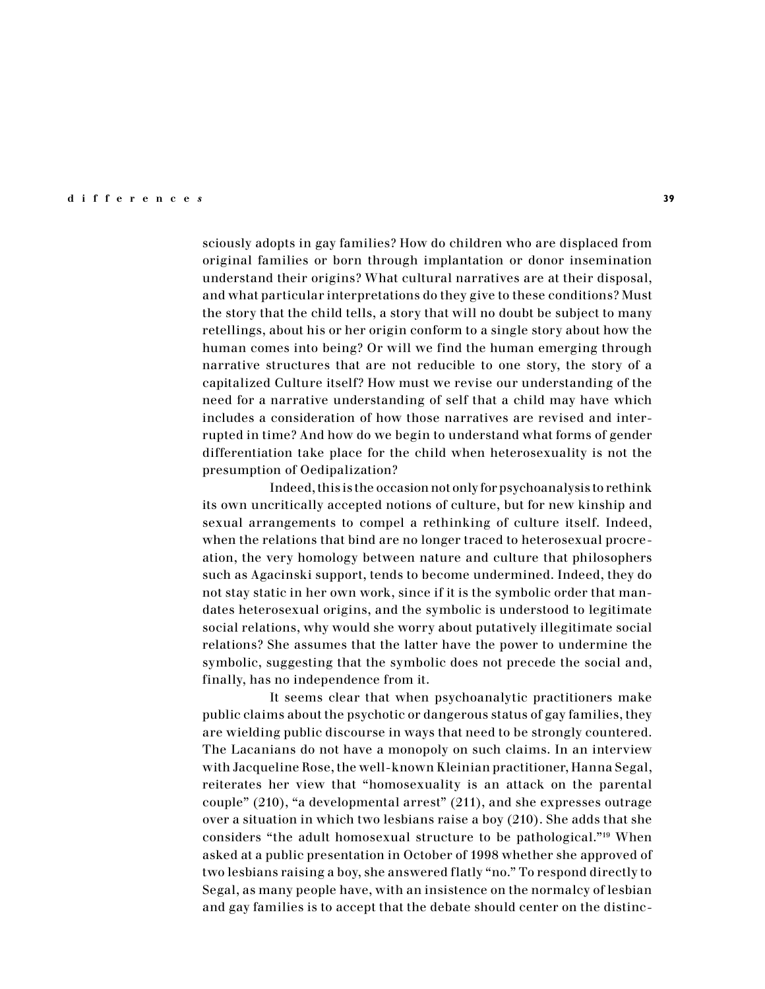sciously adopts in gay families? How do children who are displaced from original families or born through implantation or donor insemination understand their origins? What cultural narratives are at their disposal, and what particular interpretations do they give to these conditions? Must the story that the child tells, a story that will no doubt be subject to many retellings, about his or her origin conform to a single story about how the human comes into being? Or will we find the human emerging through narrative structures that are not reducible to one story, the story of a capitalized Culture itself? How must we revise our understanding of the need for a narrative understanding of self that a child may have which includes a consideration of how those narratives are revised and interrupted in time? And how do we begin to understand what forms of gender differentiation take place for the child when heterosexuality is not the presumption of Oedipalization?

Indeed, this is the occasion not only for psychoanalysis to rethink its own uncritically accepted notions of culture, but for new kinship and sexual arrangements to compel a rethinking of culture itself. Indeed, when the relations that bind are no longer traced to heterosexual procreation, the very homology between nature and culture that philosophers such as Agacinski support, tends to become undermined. Indeed, they do not stay static in her own work, since if it is the symbolic order that mandates heterosexual origins, and the symbolic is understood to legitimate social relations, why would she worry about putatively illegitimate social relations? She assumes that the latter have the power to undermine the symbolic, suggesting that the symbolic does not precede the social and, finally, has no independence from it.

It seems clear that when psychoanalytic practitioners make public claims about the psychotic or dangerous status of gay families, they are wielding public discourse in ways that need to be strongly countered. The Lacanians do not have a monopoly on such claims. In an interview with Jacqueline Rose, the well-known Kleinian practitioner, Hanna Segal, reiterates her view that "homosexuality is an attack on the parental couple" (210), "a developmental arrest" (211), and she expresses outrage over a situation in which two lesbians raise a boy (210). She adds that she considers "the adult homosexual structure to be pathological."19 When asked at a public presentation in October of 1998 whether she approved of two lesbians raising a boy, she answered flatly "no." To respond directly to Segal, as many people have, with an insistence on the normalcy of lesbian and gay families is to accept that the debate should center on the distinc-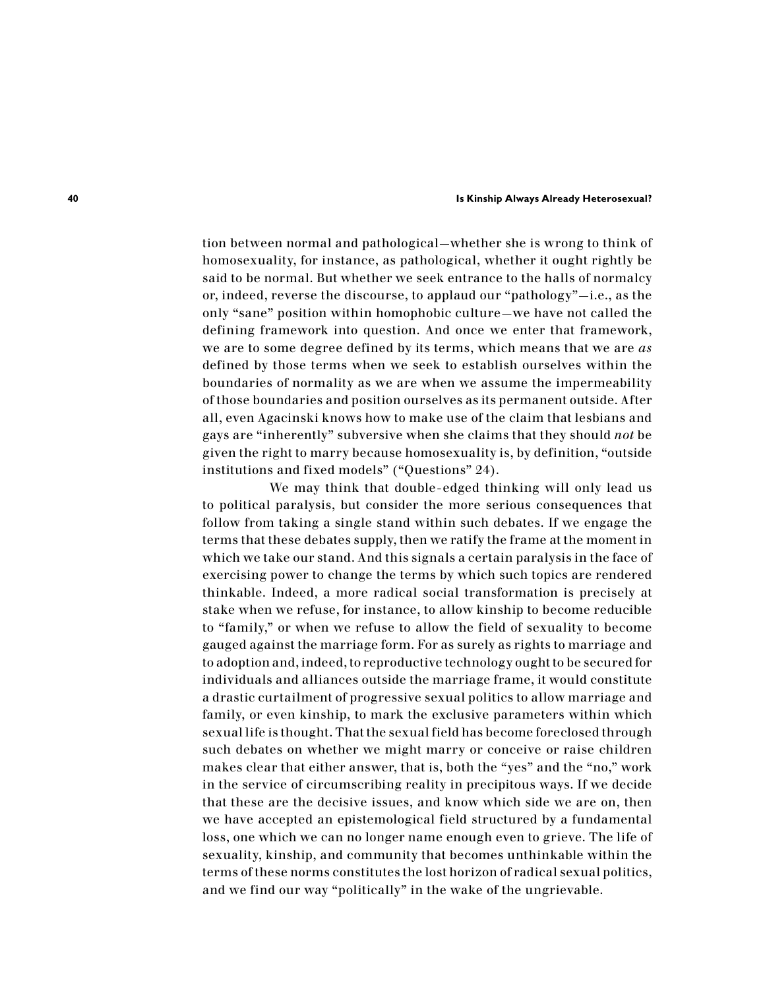tion between normal and pathological—whether she is wrong to think of homosexuality, for instance, as pathological, whether it ought rightly be said to be normal. But whether we seek entrance to the halls of normalcy or, indeed, reverse the discourse, to applaud our "pathology"—i.e., as the only "sane" position within homophobic culture—we have not called the defining framework into question. And once we enter that framework, we are to some degree defined by its terms, which means that we are *as* defined by those terms when we seek to establish ourselves within the boundaries of normality as we are when we assume the impermeability of those boundaries and position ourselves as its permanent outside. After all, even Agacinski knows how to make use of the claim that lesbians and gays are "inherently" subversive when she claims that they should *not* be given the right to marry because homosexuality is, by definition, "outside institutions and fixed models" ("Questions" 24).

We may think that double-edged thinking will only lead us to political paralysis, but consider the more serious consequences that follow from taking a single stand within such debates. If we engage the terms that these debates supply, then we ratify the frame at the moment in which we take our stand. And this signals a certain paralysis in the face of exercising power to change the terms by which such topics are rendered thinkable. Indeed, a more radical social transformation is precisely at stake when we refuse, for instance, to allow kinship to become reducible to "family," or when we refuse to allow the field of sexuality to become gauged against the marriage form. For as surely as rights to marriage and to adoption and, indeed, to reproductive technology ought to be secured for individuals and alliances outside the marriage frame, it would constitute a drastic curtailment of progressive sexual politics to allow marriage and family, or even kinship, to mark the exclusive parameters within which sexual life is thought. That the sexual field has become foreclosed through such debates on whether we might marry or conceive or raise children makes clear that either answer, that is, both the "yes" and the "no," work in the service of circumscribing reality in precipitous ways. If we decide that these are the decisive issues, and know which side we are on, then we have accepted an epistemological field structured by a fundamental loss, one which we can no longer name enough even to grieve. The life of sexuality, kinship, and community that becomes unthinkable within the terms of these norms constitutes the lost horizon of radical sexual politics, and we find our way "politically" in the wake of the ungrievable.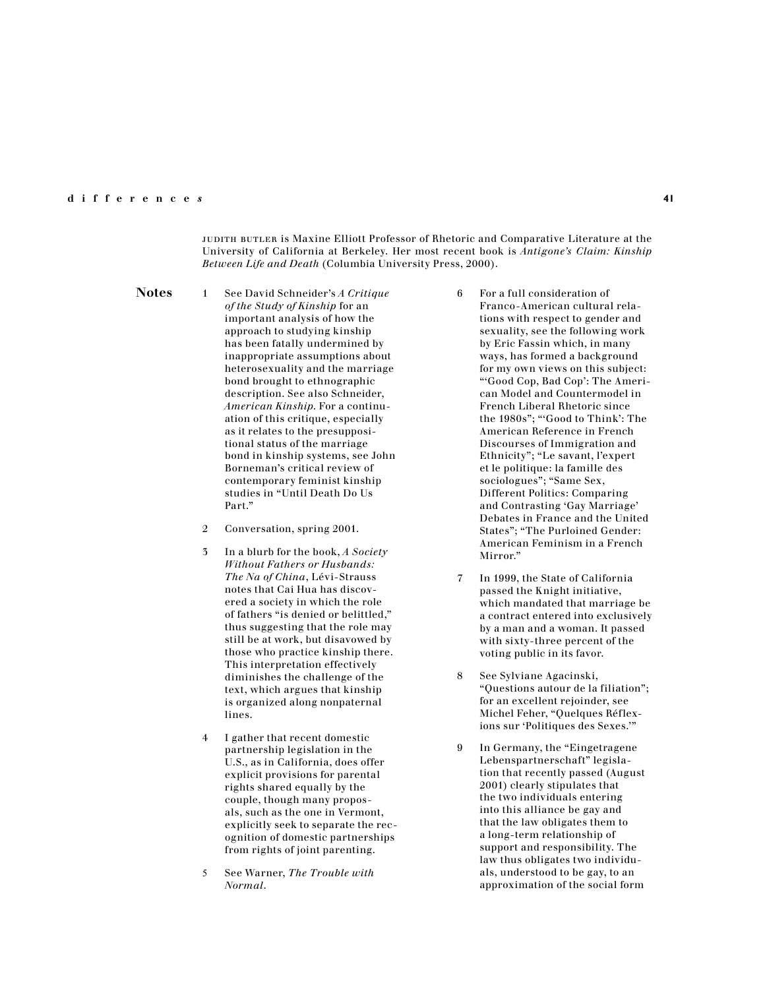judith butler is Maxine Elliott Professor of Rhetoric and Comparative Literature at the University of California at Berkeley. Her most recent book is *Antigone's Claim: Kinship Between Life and Death* (Columbia University Press, 2000).

- **Notes** 1 See David Schneider's *A Critique of the Study of Kinship* for an important analysis of how the approach to studying kinship has been fatally undermined by inappropriate assumptions about heterosexuality and the marriage bond brought to ethnographic description. See also Schneider, *American Kinship*. For a continuation of this critique, especially as it relates to the presuppositional status of the marriage bond in kinship systems, see John Borneman's critical review of contemporary feminist kinship studies in "Until Death Do Us Part."
	- 2 Conversation, spring 2001.
	- 3 In a blurb for the book, *A Society Without Fathers or Husbands: The Na of China*, Lévi-Strauss notes that Cai Hua has discovered a society in which the role of fathers "is denied or belittled," thus suggesting that the role may still be at work, but disavowed by those who practice kinship there. This interpretation effectively diminishes the challenge of the text, which argues that kinship is organized along nonpaternal lines.
	- 4 I gather that recent domestic partnership legislation in the U.S., as in California, does offer explicit provisions for parental rights shared equally by the couple, though many proposals, such as the one in Vermont, explicitly seek to separate the recognition of domestic partnerships from rights of joint parenting.
	- 5 See Warner, *The Trouble with Normal*.
- 6 For a full consideration of Franco-American cultural relations with respect to gender and sexuality, see the following work by Eric Fassin which, in many ways, has formed a background for my own views on this subject: "'Good Cop, Bad Cop': The American Model and Countermodel in French Liberal Rhetoric since the 1980s"; "'Good to Think': The American Reference in French Discourses of Immigration and Ethnicity"; "Le savant, l'expert et le politique: la famille des sociologues"; "Same Sex, Different Politics: Comparing and Contrasting 'Gay Marriage' Debates in France and the United States"; "The Purloined Gender: American Feminism in a French Mirror."
- 7 In 1999, the State of California passed the Knight initiative, which mandated that marriage be a contract entered into exclusively by a man and a woman. It passed with sixty-three percent of the voting public in its favor.
- 8 See Sylviane Agacinski, "Questions autour de la filiation"; for an excellent rejoinder, see Michel Feher, "Quelques Réflexions sur 'Politiques des Sexes.'"
- 9 In Germany, the "Eingetragene Lebenspartnerschaft" legislation that recently passed (August 2001) clearly stipulates that the two individuals entering into this alliance be gay and that the law obligates them to a long-term relationship of support and responsibility. The law thus obligates two individuals, understood to be gay, to an approximation of the social form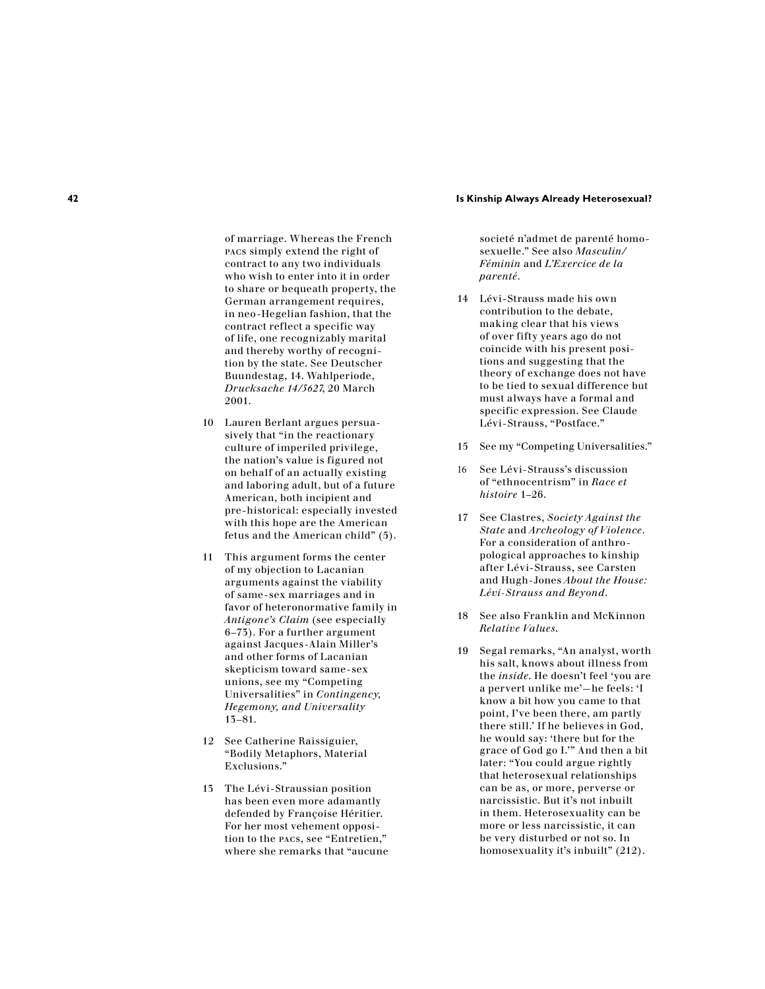of marriage. Whereas the French pacs simply extend the right of contract to any two individuals who wish to enter into it in order to share or bequeath property, the German arrangement requires, in neo-Hegelian fashion, that the contract reflect a specific way of life, one recognizably marital and thereby worthy of recognition by the state. See Deutscher Buundestag, 14. Wahlperiode, *Drucksache 14/5627*, 20 March 2001.

- 10 Lauren Berlant argues persuasively that "in the reactionary culture of imperiled privilege, the nation 's value is figured not on behalf of an actually existing and laboring adult, but of a future American, both incipient and pre-historical: especially invested with this hope are the American fetus and the American child " (5).
- 11 This argument forms the center of my objection to Lacanian arguments against the viability of same-sex marriages and in favor of heteronormative family in *Antigone 's Claim* (see especially 6 –73). For a further argument against Jacques-Alain Miller 's and other forms of Lacanian skepticism toward same-sex unions, see my "Competing Universalities " in *Contingency, Hegemony, and Universality* 13 –81.
- 12 See Catherine Raissiguier, "Bodily Metaphors, Material Exclusions. "
- 13 The L évi-Straussian position has been even more adamantly defended by Fran çoise H éritier. For her most vehement opposition to the pacs, see "Entretien, " where she remarks that "aucune

societ é n 'admet de parent é homosexuelle." See also *Masculin/ Féminin* and *L'Exercice de la parent é* .

- 14 L évi-Strauss made his own contribution to the debate, making clear that his views of over fifty years ago do not coincide with his present positions and suggesting that the theory of exchange does not have to be tied to sexual difference but must always have a formal and specific expression. See Claude Lévi-Strauss, "Postface."
- 15 See my "Competing Universalities. "
- 16 See L évi-Strauss 's discussion of "ethnocentrism " in *Race et histoire* 1 –26.
- 17 See Clastres, *Society Against the State* and *Archeology of Violence*. For a consideration of anthropological approaches to kinship after L évi-Strauss, see Carsten and Hugh-Jones *About the House: Lévi-Strauss and Beyond*.
- 18 See also Franklin and McKinnon *Relative Values* .
- 19 Segal remarks, "An analyst, worth his salt, knows about illness from the *inside*. He doesn 't feel 'you are a pervert unlike me'—he feels: 'I know a bit how you came to that point, I 've been there, am partly there still. ' If he believes in God, he would say: 'there but for the grace of God go I.'" And then a bit later: "You could argue rightly that heterosexual relationships can be as, or more, perverse or narcissistic. But it 's not inbuilt in them. Heterosexuality can be more or less narcissistic, it can be very disturbed or not so. In homosexuality it 's inbuilt " (212).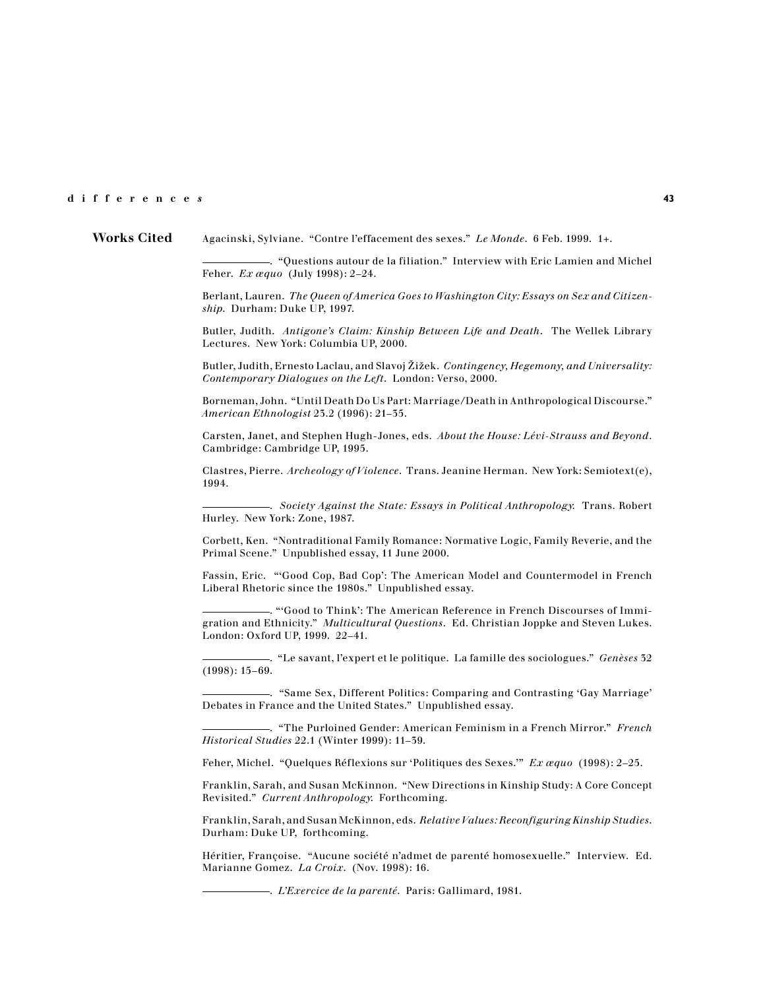Agacinski, Sylviane. "Contre l'effacement des sexes." *Le Monde*. 6 Feb. 1999. 1+. **Works Cited**

> . "Questions autour de la filiation." Interview with Eric Lamien and Michel Feher. *Ex æquo* (July 1998): 2–24.

> Berlant, Lauren. *The Queen of America Goes to Washington City: Essays on Sex and Citizenship*. Durham: Duke UP, 1997.

> Butler, Judith. *Antigone's Claim: Kinship Between Life and Death*. The Wellek Library Lectures. New York: Columbia UP, 2000.

> Butler, Judith, Ernesto Laclau, and Slavoj Žižek. *Contingency, Hegemony, and Universality: Contemporary Dialogues on the Left*. London: Verso, 2000.

> Borneman, John. "Until Death Do Us Part: Marriage/Death in Anthropological Discourse." *American Ethnologist* 23.2 (1996): 21–35.

> Carsten, Janet, and Stephen Hugh-Jones, eds. *About the House: Lévi-Strauss and Beyond*. Cambridge: Cambridge UP, 1995.

> Clastres, Pierre. *Archeology of Violence*. Trans. Jeanine Herman. New York: Semiotext(e), 1994.

> . *Society Against the State: Essays in Political Anthropology*. Trans. Robert Hurley. New York: Zone, 1987.

> Corbett, Ken. "Nontraditional Family Romance: Normative Logic, Family Reverie, and the Primal Scene." Unpublished essay, 11 June 2000.

> Fassin, Eric. "'Good Cop, Bad Cop': The American Model and Countermodel in French Liberal Rhetoric since the 1980s." Unpublished essay.

> . "'Good to Think': The American Reference in French Discourses of Immigration and Ethnicity." *Multicultural Questions*. Ed. Christian Joppke and Steven Lukes. London: Oxford UP, 1999. 22–41.

> . "Le savant, l'expert et le politique. La famille des sociologues." *Genèses* 32 (1998): 15–69.

> . "Same Sex, Different Politics: Comparing and Contrasting 'Gay Marriage' Debates in France and the United States." Unpublished essay.

> . "The Purloined Gender: American Feminism in a French Mirror." *French Historical Studies* 22.1 (Winter 1999): 11–39.

Feher, Michel. "Quelques Réflexions sur 'Politiques des Sexes.'" *Ex æquo* (1998): 2–25.

Franklin, Sarah, and Susan McKinnon. "New Directions in Kinship Study: A Core Concept Revisited." *Current Anthropology*. Forthcoming.

Franklin, Sarah, and Susan McKinnon, eds. *Relative Values: Reconfiguring Kinship Studies*. Durham: Duke UP, forthcoming.

Héritier, Françoise. "Aucune société n'admet de parenté homosexuelle." Interview. Ed. Marianne Gomez. *La Croix*. (Nov. 1998): 16.

. *L'Exercice de la parenté*. Paris: Gallimard, 1981.